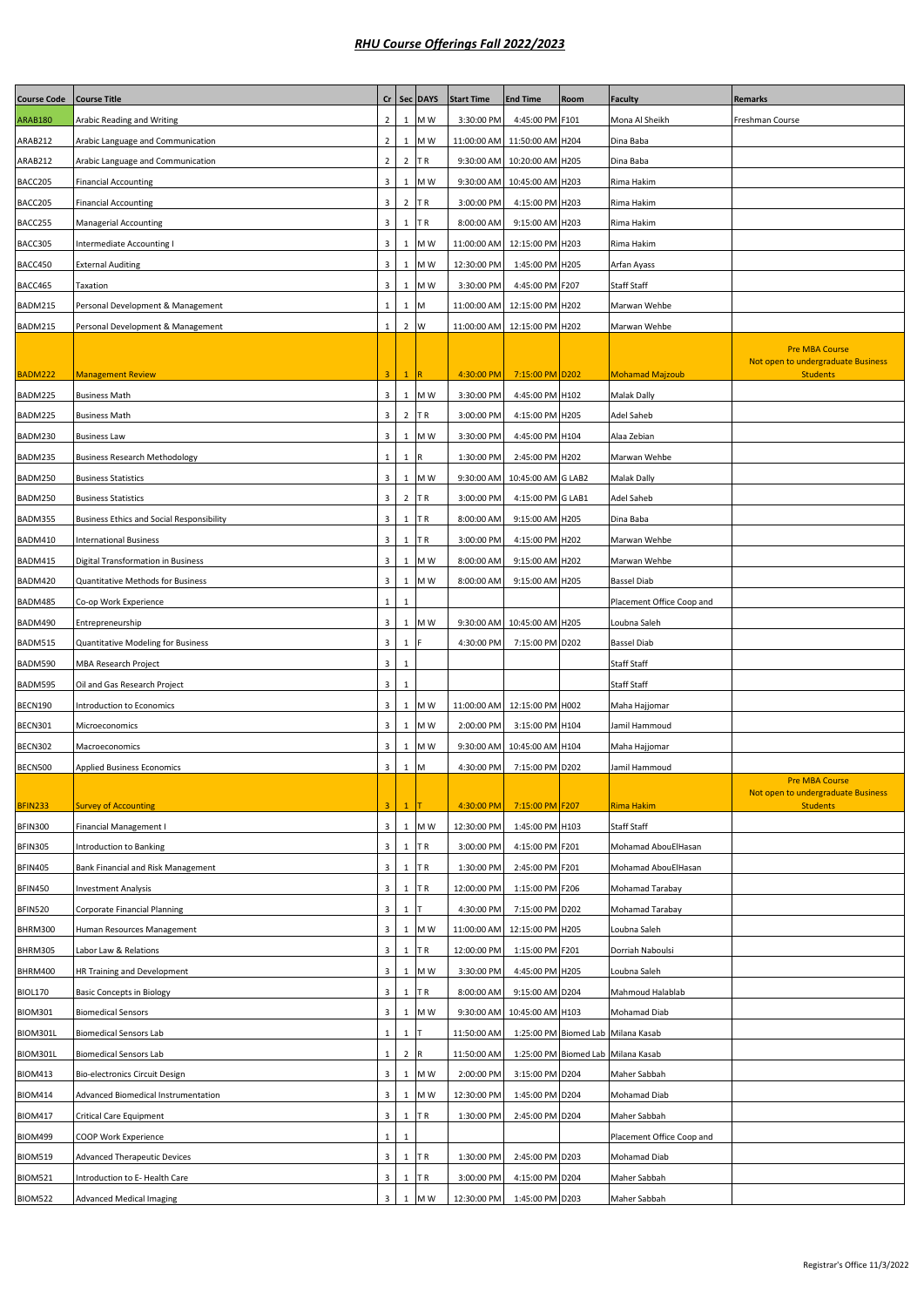| <b>Course Code</b> | <b>Course Title</b>                              | cr                      |                | Sec DAYS | <b>Start Time</b> | <b>End Time</b>               | Room | <b>Faculty</b>                     | <b>Remarks</b>                                              |
|--------------------|--------------------------------------------------|-------------------------|----------------|----------|-------------------|-------------------------------|------|------------------------------------|-------------------------------------------------------------|
| <b>ARAB180</b>     | Arabic Reading and Writing                       | $\overline{2}$          | 1              | M W      | 3:30:00 PM        | 4:45:00 PM F101               |      | Mona Al Sheikh                     | Freshman Course                                             |
| ARAB212            | Arabic Language and Communication                | $\overline{2}$          | 1              | M W      | 11:00:00 AM       | 11:50:00 AM H204              |      | Dina Baba                          |                                                             |
| ARAB212            | Arabic Language and Communication                | $\overline{2}$          | $\overline{2}$ | TR       |                   | 9:30:00 AM 10:20:00 AM H205   |      | Dina Baba                          |                                                             |
| BACC205            | <b>Financial Accounting</b>                      | 3                       | $\mathbf{1}$   | M W      | 9:30:00 AM        | 10:45:00 AM H203              |      | Rima Hakim                         |                                                             |
| BACC205            | <b>Financial Accounting</b>                      | $\overline{3}$          | $\overline{2}$ | ΤR       | 3:00:00 PM        | 4:15:00 PM H203               |      | Rima Hakim                         |                                                             |
| BACC255            | <b>Managerial Accounting</b>                     | 3                       | 1              | ΤR       | 8:00:00 AM        | 9:15:00 AM H203               |      | Rima Hakim                         |                                                             |
| BACC305            | <b>Intermediate Accounting I</b>                 | 3                       | $\mathbf{1}$   | M W      | 11:00:00 AM       | 12:15:00 PM H203              |      | Rima Hakim                         |                                                             |
| BACC450            | External Auditing                                | 3                       | $\mathbf{1}$   | M W      | 12:30:00 PM       | 1:45:00 PM H205               |      | Arfan Ayass                        |                                                             |
| BACC465            | Taxation                                         | $\overline{3}$          | $\mathbf{1}$   | M W      | 3:30:00 PM        | 4:45:00 PM F207               |      | <b>Staff Staff</b>                 |                                                             |
| BADM215            | Personal Development & Management                | 1                       | $\mathbf{1}$   | M        | 11:00:00 AM       | 12:15:00 PM H202              |      | Marwan Wehbe                       |                                                             |
|                    |                                                  | $\mathbf{1}$            | 2 W            |          |                   |                               |      |                                    |                                                             |
| BADM215            | Personal Development & Management                |                         |                |          |                   | 11:00:00 AM 12:15:00 PM H202  |      | Marwan Wehbe                       |                                                             |
|                    |                                                  |                         |                |          |                   |                               |      |                                    | <b>Pre MBA Course</b><br>Not open to undergraduate Business |
| BADM222            | <b>Management Review</b>                         | 3                       | $\mathbf{1}$   | R        | 4:30:00 PM        | 7:15:00 PM D202               |      | <b>Mohamad Majzoub</b>             | <b>Students</b>                                             |
| BADM225            | <b>Business Math</b>                             | 3                       | $\mathbf{1}$   | M W      | 3:30:00 PM        | 4:45:00 PM H102               |      | <b>Malak Dally</b>                 |                                                             |
| BADM225            | <b>Business Math</b>                             | $\mathsf 3$             | $\overline{2}$ | ΤR       | 3:00:00 PM        | 4:15:00 PM H205               |      | Adel Saheb                         |                                                             |
| BADM230            | <b>Business Law</b>                              | 3                       | 1              | M W      | 3:30:00 PM        | 4:45:00 PM H104               |      | Alaa Zebian                        |                                                             |
| BADM235            | <b>Business Research Methodology</b>             | 1                       | $\mathbf{1}$   | R        | 1:30:00 PM        | 2:45:00 PM H202               |      | Marwan Wehbe                       |                                                             |
| BADM250            | <b>Business Statistics</b>                       | $\mathsf 3$             |                | 1 M W    |                   | 9:30:00 AM 10:45:00 AM G LAB2 |      | <b>Malak Dally</b>                 |                                                             |
| BADM250            | <b>Business Statistics</b>                       | 3                       | $\overline{2}$ | ΤR       | 3:00:00 PM        | 4:15:00 PM G LAB1             |      | <b>Adel Saheb</b>                  |                                                             |
| BADM355            | <b>Business Ethics and Social Responsibility</b> | $\overline{3}$          | $\mathbf{1}$   | ΤR       | 8:00:00 AM        | 9:15:00 AM H205               |      | Dina Baba                          |                                                             |
|                    |                                                  | 3                       |                |          |                   |                               |      |                                    |                                                             |
| BADM410            | <b>International Business</b>                    |                         | 1              | ΤR       | 3:00:00 PM        | 4:15:00 PM H202               |      | Marwan Wehbe                       |                                                             |
| BADM415            | Digital Transformation in Business               | 3                       | $\mathbf{1}$   | M W      | 8:00:00 AM        | 9:15:00 AM H202               |      | Marwan Wehbe                       |                                                             |
| BADM420            | <b>Quantitative Methods for Business</b>         | 3                       | $\mathbf{1}$   | M W      | 8:00:00 AM        | 9:15:00 AM H205               |      | <b>Bassel Diab</b>                 |                                                             |
| BADM485            | Co-op Work Experience                            | $\mathbf{1}$            | $\mathbf{1}$   |          |                   |                               |      | Placement Office Coop and          |                                                             |
| BADM490            | Entrepreneurship                                 | $\mathsf 3$             | $\mathbf{1}$   | M W      | 9:30:00 AM        | 10:45:00 AM H205              |      | Loubna Saleh                       |                                                             |
| BADM515            | Quantitative Modeling for Business               | 3                       | 1              |          | 4:30:00 PM        | 7:15:00 PM D202               |      | <b>Bassel Diab</b>                 |                                                             |
| BADM590            | <b>MBA Research Project</b>                      | $\mathsf 3$             | $\mathbf{1}$   |          |                   |                               |      | <b>Staff Staff</b>                 |                                                             |
| BADM595            | Oil and Gas Research Project                     | 3                       | $\mathbf{1}$   |          |                   |                               |      | <b>Staff Staff</b>                 |                                                             |
| BECN190            | <b>Introduction to Economics</b>                 | 3                       | 1              | M W      | 11:00:00 AM       | 12:15:00 PM H002              |      | Maha Hajjomar                      |                                                             |
| BECN301            | Microeconomics                                   | 3                       | 1              | M W      | 2:00:00 PM        | 3:15:00 PM H104               |      | Jamil Hammoud                      |                                                             |
| <b>BECN302</b>     | Macroeconomics                                   | 3                       |                | $1$ MW   |                   | 9:30:00 AM 10:45:00 AM H104   |      | Maha Hajjomar                      |                                                             |
| BECN500            | <b>Applied Business Economics</b>                | $\overline{\mathbf{3}}$ | $1 \mid M$     |          | 4:30:00 PM        | 7:15:00 PM D202               |      | Jamil Hammoud                      |                                                             |
|                    |                                                  |                         |                |          |                   |                               |      |                                    | <b>Pre MBA Course</b>                                       |
| <b>BFIN233</b>     | <b>Survey of Accounting</b>                      | 3                       | $\mathbf{1}$   |          | 4:30:00 PM        | 7:15:00 PM F207               |      | <b>Rima Hakim</b>                  | Not open to undergraduate Business<br><b>Students</b>       |
| <b>BFIN300</b>     | Financial Management I                           | $\mathbf{3}$            |                | 1 M W    | 12:30:00 PM       | 1:45:00 PM H103               |      | <b>Staff Staff</b>                 |                                                             |
| BFIN305            | <b>Introduction to Banking</b>                   | 3                       | 1              | ΤR       | 3:00:00 PM        | 4:15:00 PM F201               |      | Mohamad AbouElHasan                |                                                             |
| <b>BFIN405</b>     | Bank Financial and Risk Management               | $\mathbf{3}$            | $\mathbf{1}$   | TR.      | 1:30:00 PM        | 2:45:00 PM F201               |      | Mohamad AbouElHasan                |                                                             |
| <b>BFIN450</b>     | <b>Investment Analysis</b>                       | 3                       | $\mathbf 1$    | ΤR       | 12:00:00 PM       | 1:15:00 PM F206               |      | Mohamad Tarabay                    |                                                             |
|                    |                                                  | $\overline{3}$          | $\mathbf 1$    |          |                   |                               |      |                                    |                                                             |
| <b>BFIN520</b>     | Corporate Financial Planning                     |                         |                |          | 4:30:00 PM        | 7:15:00 PM D202               |      | Mohamad Tarabay                    |                                                             |
| BHRM300            | Human Resources Management                       | $\mathsf 3$             | $\mathbf 1$    | M W      | 11:00:00 AM       | 12:15:00 PM H205              |      | Loubna Saleh                       |                                                             |
| BHRM305            | Labor Law & Relations                            | 3                       | 1              | TR.      | 12:00:00 PM       | 1:15:00 PM F201               |      | Dorriah Naboulsi                   |                                                             |
| BHRM400            | HR Training and Development                      | 3                       |                | 1 M W    | 3:30:00 PM        | 4:45:00 PM H205               |      | Loubna Saleh                       |                                                             |
| <b>BIOL170</b>     | <b>Basic Concepts in Biology</b>                 | $\overline{3}$          | $\mathbf{1}$   | ΤR       | 8:00:00 AM        | 9:15:00 AM D204               |      | Mahmoud Halablab                   |                                                             |
| <b>BIOM301</b>     | <b>Biomedical Sensors</b>                        | $\mathsf 3$             | $\perp$        | M W      | 9:30:00 AM        | 10:45:00 AM H103              |      | Mohamad Diab                       |                                                             |
| BIOM301L           | <b>Biomedical Sensors Lab</b>                    | $\mathbf{1}$            | 1              |          | 11:50:00 AM       |                               |      | 1:25:00 PM Biomed Lab Milana Kasab |                                                             |
| BIOM301L           | <b>Biomedical Sensors Lab</b>                    | $\mathbf{1}$            | 2 R            |          | 11:50:00 AM       |                               |      | 1:25:00 PM Biomed Lab Milana Kasab |                                                             |
| <b>BIOM413</b>     | Bio-electronics Circuit Design                   | 3                       |                | 1 M W    | 2:00:00 PM        | 3:15:00 PM D204               |      | Maher Sabbah                       |                                                             |
| <b>BIOM414</b>     | Advanced Biomedical Instrumentation              | $\mathsf 3$             | $1\,$          | M W      | 12:30:00 PM       | 1:45:00 PM D204               |      | Mohamad Diab                       |                                                             |
| <b>BIOM417</b>     | Critical Care Equipment                          | $\overline{\mathbf{3}}$ | $1\,$          | ΤR       | 1:30:00 PM        | 2:45:00 PM D204               |      | Maher Sabbah                       |                                                             |
| <b>BIOM499</b>     | COOP Work Experience                             | $\mathbf 1$             | $\mathbf 1$    |          |                   |                               |      | Placement Office Coop and          |                                                             |
| <b>BIOM519</b>     | <b>Advanced Therapeutic Devices</b>              | $\mathbf{3}$            | 1              | TR       | 1:30:00 PM        | 2:45:00 PM D203               |      | Mohamad Diab                       |                                                             |
| <b>BIOM521</b>     | Introduction to E-Health Care                    | $\overline{\mathbf{3}}$ | $\mathbf{1}$   | ΤR       | 3:00:00 PM        | 4:15:00 PM D204               |      | Maher Sabbah                       |                                                             |
| <b>BIOM522</b>     | <b>Advanced Medical Imaging</b>                  | $\overline{\mathbf{3}}$ |                | 1 M W    | 12:30:00 PM       | 1:45:00 PM D203               |      | Maher Sabbah                       |                                                             |
|                    |                                                  |                         |                |          |                   |                               |      |                                    |                                                             |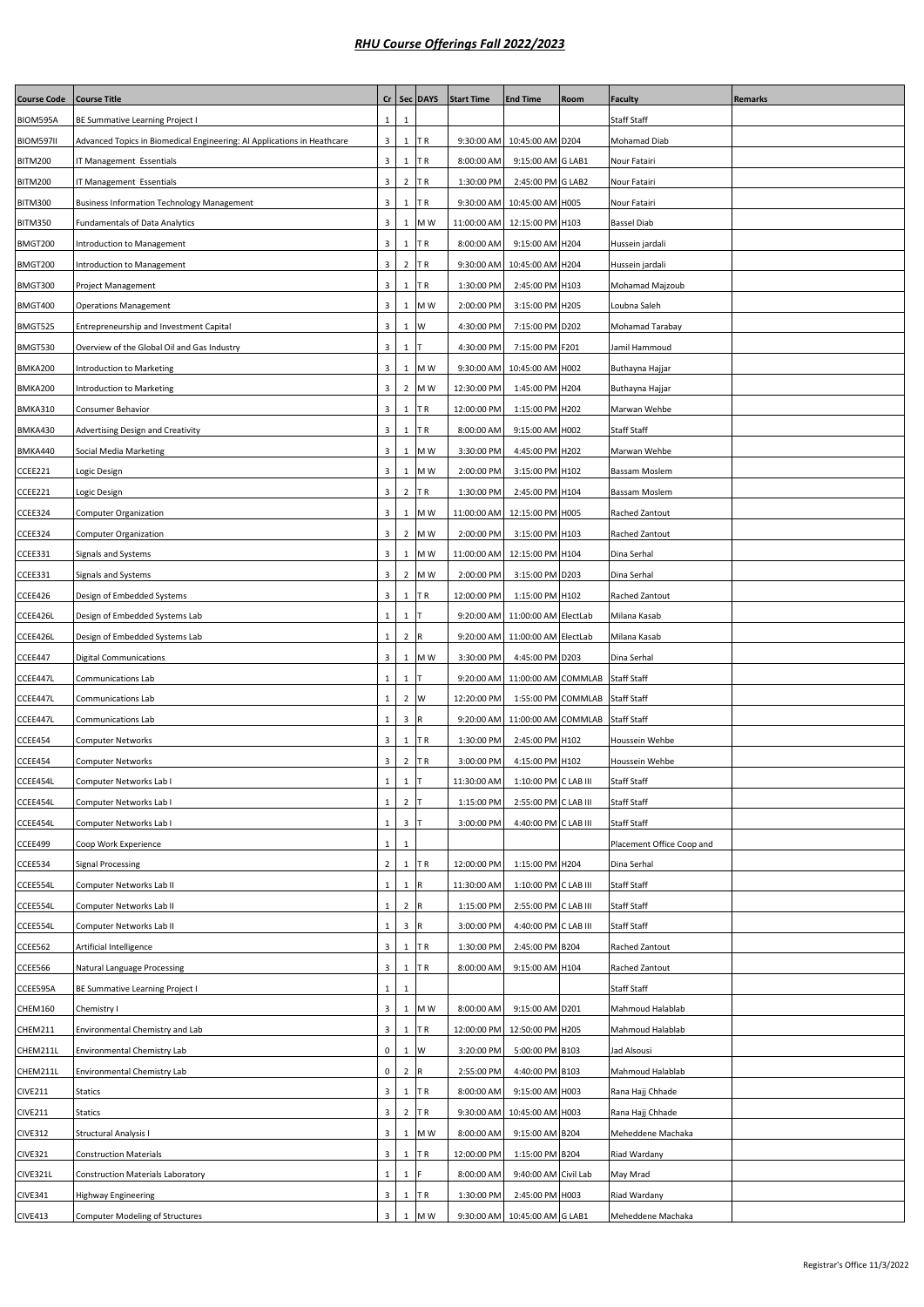| Cr   Sec   DAYS<br>Staff Staff<br>BIOM595A<br>1<br>BE Summative Learning Project I<br>1<br><b>BIOM597II</b><br>3<br>$\mathbf{1}$<br>9:30:00 AM<br>10:45:00 AM D204<br>Mohamad Diab<br>Advanced Topics in Biomedical Engineering: AI Applications in Heathcare<br>ΤR<br><b>BITM200</b><br>3<br>8:00:00 AM<br>9:15:00 AM G LAB1<br>IT Management Essentials<br>1<br>ΤR<br>Nour Fatairi<br>3<br>$\overline{2}$<br><b>BITM200</b><br>1:30:00 PM<br>2:45:00 PM G LAB2<br>IT Management Essentials<br>ΤR<br>Nour Fatairi<br>3<br>$\mathbf{1}$<br>ΤR<br><b>BITM300</b><br><b>Business Information Technology Management</b><br>9:30:00 AM<br>10:45:00 AM H005<br>Nour Fatairi<br>3<br>$\,1\,$<br>M W<br>BITM350<br><b>Fundamentals of Data Analytics</b><br>11:00:00 AM<br>12:15:00 PM H103<br><b>Bassel Diab</b><br>3<br>BMGT200<br>Introduction to Management<br>1<br>ΤR<br>8:00:00 AM<br>9:15:00 AM H204<br>Hussein jardali<br>3<br>$\overline{2}$<br>BMGT200<br>Introduction to Management<br>ΤR<br>9:30:00 AM<br>10:45:00 AM H204<br>Hussein jardali<br>3<br>$\mathbf{1}$<br>BMGT300<br>ΤR<br>1:30:00 PM<br>2:45:00 PM H103<br>Mohamad Majzoub<br>Project Management<br>3<br>$\mathbf{1}$<br>M W<br>3:15:00 PM H205<br>BMGT400<br>2:00:00 PM<br>Loubna Saleh<br><b>Operations Management</b><br>BMGT525<br>3<br>$\mathbf{1}$<br>W<br>4:30:00 PM<br>7:15:00 PM D202<br>Entrepreneurship and Investment Capital<br>Mohamad Tarabay<br>BMGT530<br>3<br>$\mathbf{1}$<br>4:30:00 PM<br>7:15:00 PM F201<br>Jamil Hammoud<br>Overview of the Global Oil and Gas Industry<br>BMKA200<br>3<br>$\mathbf{1}$<br>M W<br>9:30:00 AM<br>10:45:00 AM H002<br>Introduction to Marketing<br>Buthayna Hajjar<br>3<br>$\overline{2}$<br>M W<br>12:30:00 PM<br>1:45:00 PM H204<br>BMKA200<br>Introduction to Marketing<br>Buthayna Hajjar<br>3<br>$\mathbf{1}$<br>BMKA310<br>Consumer Behavior<br>ΤR<br>12:00:00 PM<br>1:15:00 PM H202<br>Marwan Wehbe<br>3<br>Staff Staff<br>BMKA430<br>Advertising Design and Creativity<br>1<br>ΤR<br>8:00:00 AM<br>9:15:00 AM H002<br>3<br>4:45:00 PM H202<br>BMKA440<br>Social Media Marketing<br>1<br>M W<br>3:30:00 PM<br>Marwan Wehbe<br>CCEE221<br>3<br>1<br>M W<br>2:00:00 PM<br>3:15:00 PM H102<br>Logic Design<br>Bassam Moslem<br>$\overline{2}$<br>CCEE221<br>3<br>TR<br>1:30:00 PM<br>2:45:00 PM H104<br>Logic Design<br>Bassam Moslem<br>CCEE324<br>3<br>11:00:00 AM<br>12:15:00 PM H005<br><b>Computer Organization</b><br>1<br>M W<br>Rached Zantout<br>CCEE324<br>3<br>$\overline{2}$<br>2:00:00 PM<br>3:15:00 PM H103<br><b>Computer Organization</b><br>M W<br>Rached Zantout<br>CCEE331<br>3<br>$\mathbf{1}$<br>M W<br>11:00:00 AM<br>12:15:00 PM H104<br>Dina Serhal<br>Signals and Systems<br>3<br>$\overline{2}$<br>M W<br>CCEE331<br>Signals and Systems<br>2:00:00 PM<br>3:15:00 PM D203<br>Dina Serhal<br>3<br>$\mathbf{1}$<br>CCEE426<br>Design of Embedded Systems<br>ΤR<br>12:00:00 PM<br>1:15:00 PM H102<br>Rached Zantout<br>9:20:00 AM 11:00:00 AM ElectLab<br>CCEE426L<br>Design of Embedded Systems Lab<br>1<br>1<br>Milana Kasab<br>$\overline{2}$<br>9:20:00 AM 11:00:00 AM ElectLab<br>CCEE426L<br>Design of Embedded Systems Lab<br>1<br>Milana Kasab<br>CCEE447<br>3<br>$\mathbf{1}$<br>4:45:00 PM D203<br><b>Digital Communications</b><br>M W<br>3:30:00 PM<br>Dina Serhal<br>CCEE447L<br>$\mathbf{1}$<br>$\mathbf{1}$<br>11:00:00 AM COMMLAB<br>Communications Lab<br>9:20:00 AM<br><b>Staff Staff</b><br>$\overline{2}$<br>CCEE447L<br>$\mathbf{1}$<br>W<br>12:20:00 PM<br>1:55:00 PM COMMLAB<br><b>Staff Staff</b><br>Communications Lab<br>CCEE447L<br>3<br>9:20:00 AM 11:00:00 AM COMMLAB<br>Communications Lab<br>1<br>R<br><b>Staff Staff</b><br>CCEE454<br>3<br>$\mathbf{1}$<br>1:30:00 PM<br>2:45:00 PM H102<br>Houssein Wehbe<br><b>Computer Networks</b><br>ΤR<br>$\overline{2}$<br>CCEE454<br>3<br>TR<br>3:00:00 PM<br>4:15:00 PM H102<br>Computer Networks<br>Houssein Wehbe<br>$1$ T<br>CCEE454L<br>Computer Networks Lab I<br>$\mathbf{1}$<br>11:30:00 AM<br>1:10:00 PM C LAB III<br><b>Staff Staff</b><br>$\overline{2}$<br>$\mathbf{1}$<br>Staff Staff<br>CCEE454L<br>1:15:00 PM<br>2:55:00 PM C LAB III<br>Computer Networks Lab I<br>$\mathbf{1}$<br>$\mathbf{3}$<br>Staff Staff<br>CCEE454L<br>Computer Networks Lab I<br>3:00:00 PM<br>4:40:00 PM C LAB III<br>$\mathbf 1$<br>Placement Office Coop and<br>CCEE499<br>Coop Work Experience<br>$\mathbf{1}$<br>$\overline{2}$<br>1:15:00 PM H204<br>CCEE534<br>$\mathbf{1}$<br>TR<br>12:00:00 PM<br>Dina Serhal<br><b>Signal Processing</b><br>$\mathbf{1}$<br>1:10:00 PM C LAB III<br>CCEE554L<br>Computer Networks Lab II<br>$\mathbf{1}$<br>11:30:00 AM<br>Staff Staff<br>$\overline{2}$<br>CCEE554L<br>Computer Networks Lab II<br>$\mathbf{1}$<br>1:15:00 PM<br>2:55:00 PM C LAB III<br>Staff Staff<br>$\mathbf{3}$<br>CCEE554L<br>Computer Networks Lab II<br>$\mathbf{1}$<br>3:00:00 PM<br>4:40:00 PM C LAB III<br>Staff Staff<br>R<br>CCEE562<br>3<br>$\mathbf{1}$<br>2:45:00 PM B204<br>Artificial Intelligence<br>ΤR<br>1:30:00 PM<br>Rached Zantout<br>3<br>CCEE566<br>Natural Language Processing<br>$\mathbf{1}$<br>TR<br>8:00:00 AM<br>9:15:00 AM H104<br>Rached Zantout<br>CCEE595A<br>Staff Staff<br>BE Summative Learning Project I<br>$\mathbf{1}$<br>1<br>3<br>9:15:00 AM D201<br>CHEM160<br>M W<br>8:00:00 AM<br>Mahmoud Halablab<br>Chemistry I<br>1<br>3<br>$1\,$<br>CHEM211<br>Environmental Chemistry and Lab<br>TR<br>12:00:00 PM<br>12:50:00 PM H205<br>Mahmoud Halablab<br>$\mathbf 0$<br>$1\,$<br>W<br>CHEM211L<br>Environmental Chemistry Lab<br>3:20:00 PM<br>5:00:00 PM B103<br>Jad Alsousi<br>$\mathbf 0$<br>$\overline{2}$<br>CHEM211L<br>Environmental Chemistry Lab<br>2:55:00 PM<br>4:40:00 PM B103<br>Mahmoud Halablab<br>R<br><b>CIVE211</b><br>3<br>$\mathbf{1}$<br>ΤR<br>8:00:00 AM<br>9:15:00 AM H003<br>Rana Hajj Chhade<br><b>Statics</b><br>3<br>$\overline{2}$<br>10:45:00 AM H003<br><b>CIVE211</b><br><b>Statics</b><br>ΤR<br>9:30:00 AM<br>Rana Hajj Chhade<br>3<br>$\mathbf{1}$<br>M W<br>9:15:00 AM B204<br><b>CIVE312</b><br>Structural Analysis I<br>8:00:00 AM<br>Meheddene Machaka<br>3<br><b>CIVE321</b><br>$\mathbf{1}$<br>1:15:00 PM B204<br><b>Construction Materials</b><br>ΤR<br>12:00:00 PM<br>Riad Wardany<br>CIVE321L<br><b>Construction Materials Laboratory</b><br>8:00:00 AM<br>9:40:00 AM Civil Lab<br>May Mrad<br>1<br>1<br>3<br><b>CIVE341</b><br><b>Highway Engineering</b><br>ΤR<br>1:30:00 PM<br>2:45:00 PM H003<br>Riad Wardany<br>1<br>3<br>1 M W<br>9:30:00 AM 10:45:00 AM G LAB1 | <b>Course Code</b> | <b>Course Title</b>                    |  | <b>Start Time</b> | <b>End Time</b> | Room | <b>Faculty</b>    | Remarks |
|---------------------------------------------------------------------------------------------------------------------------------------------------------------------------------------------------------------------------------------------------------------------------------------------------------------------------------------------------------------------------------------------------------------------------------------------------------------------------------------------------------------------------------------------------------------------------------------------------------------------------------------------------------------------------------------------------------------------------------------------------------------------------------------------------------------------------------------------------------------------------------------------------------------------------------------------------------------------------------------------------------------------------------------------------------------------------------------------------------------------------------------------------------------------------------------------------------------------------------------------------------------------------------------------------------------------------------------------------------------------------------------------------------------------------------------------------------------------------------------------------------------------------------------------------------------------------------------------------------------------------------------------------------------------------------------------------------------------------------------------------------------------------------------------------------------------------------------------------------------------------------------------------------------------------------------------------------------------------------------------------------------------------------------------------------------------------------------------------------------------------------------------------------------------------------------------------------------------------------------------------------------------------------------------------------------------------------------------------------------------------------------------------------------------------------------------------------------------------------------------------------------------------------------------------------------------------------------------------------------------------------------------------------------------------------------------------------------------------------------------------------------------------------------------------------------------------------------------------------------------------------------------------------------------------------------------------------------------------------------------------------------------------------------------------------------------------------------------------------------------------------------------------------------------------------------------------------------------------------------------------------------------------------------------------------------------------------------------------------------------------------------------------------------------------------------------------------------------------------------------------------------------------------------------------------------------------------------------------------------------------------------------------------------------------------------------------------------------------------------------------------------------------------------------------------------------------------------------------------------------------------------------------------------------------------------------------------------------------------------------------------------------------------------------------------------------------------------------------------------------------------------------------------------------------------------------------------------------------------------------------------------------------------------------------------------------------------------------------------------------------------------------------------------------------------------------------------------------------------------------------------------------------------------------------------------------------------------------------------------------------------------------------------------------------------------------------------------------------------------------------------------------------------------------------------------------------------------------------------------------------------------------------------------------------------------------------------------------------------------------------------------------------------------------------------------------------------------------------------------------------------------------------------------------------------------------------------------------------------------------------------------------------------------------------------------------------------------------------------------------------------------------------------------------------------------------------------------------------------------------------------------------------------------------------------------------------------------------------------------------------------------------------------------------------------------------------------------------------------------------------------------------------------------------------------------------------------------------------------------------------------------------------------------------------------------------------------------------------------------------------------------------------------------------------------------------------------------------------------------------------------------------------------------------------------------------------------------------------------------------------------------------------------------------------------------------------------------------------------------------------------------------------------------------------------------------------------------------------------------------------------------------------------------------------------------------------------------|--------------------|----------------------------------------|--|-------------------|-----------------|------|-------------------|---------|
|                                                                                                                                                                                                                                                                                                                                                                                                                                                                                                                                                                                                                                                                                                                                                                                                                                                                                                                                                                                                                                                                                                                                                                                                                                                                                                                                                                                                                                                                                                                                                                                                                                                                                                                                                                                                                                                                                                                                                                                                                                                                                                                                                                                                                                                                                                                                                                                                                                                                                                                                                                                                                                                                                                                                                                                                                                                                                                                                                                                                                                                                                                                                                                                                                                                                                                                                                                                                                                                                                                                                                                                                                                                                                                                                                                                                                                                                                                                                                                                                                                                                                                                                                                                                                                                                                                                                                                                                                                                                                                                                                                                                                                                                                                                                                                                                                                                                                                                                                                                                                                                                                                                                                                                                                                                                                                                                                                                                                                                                                                                                                                                                                                                                                                                                                                                                                                                                                                                                                                                                                                                                                                                                                                                                                                                                                                                                                                                                                                                                                                                                                                                       |                    |                                        |  |                   |                 |      |                   |         |
|                                                                                                                                                                                                                                                                                                                                                                                                                                                                                                                                                                                                                                                                                                                                                                                                                                                                                                                                                                                                                                                                                                                                                                                                                                                                                                                                                                                                                                                                                                                                                                                                                                                                                                                                                                                                                                                                                                                                                                                                                                                                                                                                                                                                                                                                                                                                                                                                                                                                                                                                                                                                                                                                                                                                                                                                                                                                                                                                                                                                                                                                                                                                                                                                                                                                                                                                                                                                                                                                                                                                                                                                                                                                                                                                                                                                                                                                                                                                                                                                                                                                                                                                                                                                                                                                                                                                                                                                                                                                                                                                                                                                                                                                                                                                                                                                                                                                                                                                                                                                                                                                                                                                                                                                                                                                                                                                                                                                                                                                                                                                                                                                                                                                                                                                                                                                                                                                                                                                                                                                                                                                                                                                                                                                                                                                                                                                                                                                                                                                                                                                                                                       |                    |                                        |  |                   |                 |      |                   |         |
|                                                                                                                                                                                                                                                                                                                                                                                                                                                                                                                                                                                                                                                                                                                                                                                                                                                                                                                                                                                                                                                                                                                                                                                                                                                                                                                                                                                                                                                                                                                                                                                                                                                                                                                                                                                                                                                                                                                                                                                                                                                                                                                                                                                                                                                                                                                                                                                                                                                                                                                                                                                                                                                                                                                                                                                                                                                                                                                                                                                                                                                                                                                                                                                                                                                                                                                                                                                                                                                                                                                                                                                                                                                                                                                                                                                                                                                                                                                                                                                                                                                                                                                                                                                                                                                                                                                                                                                                                                                                                                                                                                                                                                                                                                                                                                                                                                                                                                                                                                                                                                                                                                                                                                                                                                                                                                                                                                                                                                                                                                                                                                                                                                                                                                                                                                                                                                                                                                                                                                                                                                                                                                                                                                                                                                                                                                                                                                                                                                                                                                                                                                                       |                    |                                        |  |                   |                 |      |                   |         |
|                                                                                                                                                                                                                                                                                                                                                                                                                                                                                                                                                                                                                                                                                                                                                                                                                                                                                                                                                                                                                                                                                                                                                                                                                                                                                                                                                                                                                                                                                                                                                                                                                                                                                                                                                                                                                                                                                                                                                                                                                                                                                                                                                                                                                                                                                                                                                                                                                                                                                                                                                                                                                                                                                                                                                                                                                                                                                                                                                                                                                                                                                                                                                                                                                                                                                                                                                                                                                                                                                                                                                                                                                                                                                                                                                                                                                                                                                                                                                                                                                                                                                                                                                                                                                                                                                                                                                                                                                                                                                                                                                                                                                                                                                                                                                                                                                                                                                                                                                                                                                                                                                                                                                                                                                                                                                                                                                                                                                                                                                                                                                                                                                                                                                                                                                                                                                                                                                                                                                                                                                                                                                                                                                                                                                                                                                                                                                                                                                                                                                                                                                                                       |                    |                                        |  |                   |                 |      |                   |         |
|                                                                                                                                                                                                                                                                                                                                                                                                                                                                                                                                                                                                                                                                                                                                                                                                                                                                                                                                                                                                                                                                                                                                                                                                                                                                                                                                                                                                                                                                                                                                                                                                                                                                                                                                                                                                                                                                                                                                                                                                                                                                                                                                                                                                                                                                                                                                                                                                                                                                                                                                                                                                                                                                                                                                                                                                                                                                                                                                                                                                                                                                                                                                                                                                                                                                                                                                                                                                                                                                                                                                                                                                                                                                                                                                                                                                                                                                                                                                                                                                                                                                                                                                                                                                                                                                                                                                                                                                                                                                                                                                                                                                                                                                                                                                                                                                                                                                                                                                                                                                                                                                                                                                                                                                                                                                                                                                                                                                                                                                                                                                                                                                                                                                                                                                                                                                                                                                                                                                                                                                                                                                                                                                                                                                                                                                                                                                                                                                                                                                                                                                                                                       |                    |                                        |  |                   |                 |      |                   |         |
|                                                                                                                                                                                                                                                                                                                                                                                                                                                                                                                                                                                                                                                                                                                                                                                                                                                                                                                                                                                                                                                                                                                                                                                                                                                                                                                                                                                                                                                                                                                                                                                                                                                                                                                                                                                                                                                                                                                                                                                                                                                                                                                                                                                                                                                                                                                                                                                                                                                                                                                                                                                                                                                                                                                                                                                                                                                                                                                                                                                                                                                                                                                                                                                                                                                                                                                                                                                                                                                                                                                                                                                                                                                                                                                                                                                                                                                                                                                                                                                                                                                                                                                                                                                                                                                                                                                                                                                                                                                                                                                                                                                                                                                                                                                                                                                                                                                                                                                                                                                                                                                                                                                                                                                                                                                                                                                                                                                                                                                                                                                                                                                                                                                                                                                                                                                                                                                                                                                                                                                                                                                                                                                                                                                                                                                                                                                                                                                                                                                                                                                                                                                       |                    |                                        |  |                   |                 |      |                   |         |
|                                                                                                                                                                                                                                                                                                                                                                                                                                                                                                                                                                                                                                                                                                                                                                                                                                                                                                                                                                                                                                                                                                                                                                                                                                                                                                                                                                                                                                                                                                                                                                                                                                                                                                                                                                                                                                                                                                                                                                                                                                                                                                                                                                                                                                                                                                                                                                                                                                                                                                                                                                                                                                                                                                                                                                                                                                                                                                                                                                                                                                                                                                                                                                                                                                                                                                                                                                                                                                                                                                                                                                                                                                                                                                                                                                                                                                                                                                                                                                                                                                                                                                                                                                                                                                                                                                                                                                                                                                                                                                                                                                                                                                                                                                                                                                                                                                                                                                                                                                                                                                                                                                                                                                                                                                                                                                                                                                                                                                                                                                                                                                                                                                                                                                                                                                                                                                                                                                                                                                                                                                                                                                                                                                                                                                                                                                                                                                                                                                                                                                                                                                                       |                    |                                        |  |                   |                 |      |                   |         |
|                                                                                                                                                                                                                                                                                                                                                                                                                                                                                                                                                                                                                                                                                                                                                                                                                                                                                                                                                                                                                                                                                                                                                                                                                                                                                                                                                                                                                                                                                                                                                                                                                                                                                                                                                                                                                                                                                                                                                                                                                                                                                                                                                                                                                                                                                                                                                                                                                                                                                                                                                                                                                                                                                                                                                                                                                                                                                                                                                                                                                                                                                                                                                                                                                                                                                                                                                                                                                                                                                                                                                                                                                                                                                                                                                                                                                                                                                                                                                                                                                                                                                                                                                                                                                                                                                                                                                                                                                                                                                                                                                                                                                                                                                                                                                                                                                                                                                                                                                                                                                                                                                                                                                                                                                                                                                                                                                                                                                                                                                                                                                                                                                                                                                                                                                                                                                                                                                                                                                                                                                                                                                                                                                                                                                                                                                                                                                                                                                                                                                                                                                                                       |                    |                                        |  |                   |                 |      |                   |         |
|                                                                                                                                                                                                                                                                                                                                                                                                                                                                                                                                                                                                                                                                                                                                                                                                                                                                                                                                                                                                                                                                                                                                                                                                                                                                                                                                                                                                                                                                                                                                                                                                                                                                                                                                                                                                                                                                                                                                                                                                                                                                                                                                                                                                                                                                                                                                                                                                                                                                                                                                                                                                                                                                                                                                                                                                                                                                                                                                                                                                                                                                                                                                                                                                                                                                                                                                                                                                                                                                                                                                                                                                                                                                                                                                                                                                                                                                                                                                                                                                                                                                                                                                                                                                                                                                                                                                                                                                                                                                                                                                                                                                                                                                                                                                                                                                                                                                                                                                                                                                                                                                                                                                                                                                                                                                                                                                                                                                                                                                                                                                                                                                                                                                                                                                                                                                                                                                                                                                                                                                                                                                                                                                                                                                                                                                                                                                                                                                                                                                                                                                                                                       |                    |                                        |  |                   |                 |      |                   |         |
|                                                                                                                                                                                                                                                                                                                                                                                                                                                                                                                                                                                                                                                                                                                                                                                                                                                                                                                                                                                                                                                                                                                                                                                                                                                                                                                                                                                                                                                                                                                                                                                                                                                                                                                                                                                                                                                                                                                                                                                                                                                                                                                                                                                                                                                                                                                                                                                                                                                                                                                                                                                                                                                                                                                                                                                                                                                                                                                                                                                                                                                                                                                                                                                                                                                                                                                                                                                                                                                                                                                                                                                                                                                                                                                                                                                                                                                                                                                                                                                                                                                                                                                                                                                                                                                                                                                                                                                                                                                                                                                                                                                                                                                                                                                                                                                                                                                                                                                                                                                                                                                                                                                                                                                                                                                                                                                                                                                                                                                                                                                                                                                                                                                                                                                                                                                                                                                                                                                                                                                                                                                                                                                                                                                                                                                                                                                                                                                                                                                                                                                                                                                       |                    |                                        |  |                   |                 |      |                   |         |
|                                                                                                                                                                                                                                                                                                                                                                                                                                                                                                                                                                                                                                                                                                                                                                                                                                                                                                                                                                                                                                                                                                                                                                                                                                                                                                                                                                                                                                                                                                                                                                                                                                                                                                                                                                                                                                                                                                                                                                                                                                                                                                                                                                                                                                                                                                                                                                                                                                                                                                                                                                                                                                                                                                                                                                                                                                                                                                                                                                                                                                                                                                                                                                                                                                                                                                                                                                                                                                                                                                                                                                                                                                                                                                                                                                                                                                                                                                                                                                                                                                                                                                                                                                                                                                                                                                                                                                                                                                                                                                                                                                                                                                                                                                                                                                                                                                                                                                                                                                                                                                                                                                                                                                                                                                                                                                                                                                                                                                                                                                                                                                                                                                                                                                                                                                                                                                                                                                                                                                                                                                                                                                                                                                                                                                                                                                                                                                                                                                                                                                                                                                                       |                    |                                        |  |                   |                 |      |                   |         |
|                                                                                                                                                                                                                                                                                                                                                                                                                                                                                                                                                                                                                                                                                                                                                                                                                                                                                                                                                                                                                                                                                                                                                                                                                                                                                                                                                                                                                                                                                                                                                                                                                                                                                                                                                                                                                                                                                                                                                                                                                                                                                                                                                                                                                                                                                                                                                                                                                                                                                                                                                                                                                                                                                                                                                                                                                                                                                                                                                                                                                                                                                                                                                                                                                                                                                                                                                                                                                                                                                                                                                                                                                                                                                                                                                                                                                                                                                                                                                                                                                                                                                                                                                                                                                                                                                                                                                                                                                                                                                                                                                                                                                                                                                                                                                                                                                                                                                                                                                                                                                                                                                                                                                                                                                                                                                                                                                                                                                                                                                                                                                                                                                                                                                                                                                                                                                                                                                                                                                                                                                                                                                                                                                                                                                                                                                                                                                                                                                                                                                                                                                                                       |                    |                                        |  |                   |                 |      |                   |         |
|                                                                                                                                                                                                                                                                                                                                                                                                                                                                                                                                                                                                                                                                                                                                                                                                                                                                                                                                                                                                                                                                                                                                                                                                                                                                                                                                                                                                                                                                                                                                                                                                                                                                                                                                                                                                                                                                                                                                                                                                                                                                                                                                                                                                                                                                                                                                                                                                                                                                                                                                                                                                                                                                                                                                                                                                                                                                                                                                                                                                                                                                                                                                                                                                                                                                                                                                                                                                                                                                                                                                                                                                                                                                                                                                                                                                                                                                                                                                                                                                                                                                                                                                                                                                                                                                                                                                                                                                                                                                                                                                                                                                                                                                                                                                                                                                                                                                                                                                                                                                                                                                                                                                                                                                                                                                                                                                                                                                                                                                                                                                                                                                                                                                                                                                                                                                                                                                                                                                                                                                                                                                                                                                                                                                                                                                                                                                                                                                                                                                                                                                                                                       |                    |                                        |  |                   |                 |      |                   |         |
|                                                                                                                                                                                                                                                                                                                                                                                                                                                                                                                                                                                                                                                                                                                                                                                                                                                                                                                                                                                                                                                                                                                                                                                                                                                                                                                                                                                                                                                                                                                                                                                                                                                                                                                                                                                                                                                                                                                                                                                                                                                                                                                                                                                                                                                                                                                                                                                                                                                                                                                                                                                                                                                                                                                                                                                                                                                                                                                                                                                                                                                                                                                                                                                                                                                                                                                                                                                                                                                                                                                                                                                                                                                                                                                                                                                                                                                                                                                                                                                                                                                                                                                                                                                                                                                                                                                                                                                                                                                                                                                                                                                                                                                                                                                                                                                                                                                                                                                                                                                                                                                                                                                                                                                                                                                                                                                                                                                                                                                                                                                                                                                                                                                                                                                                                                                                                                                                                                                                                                                                                                                                                                                                                                                                                                                                                                                                                                                                                                                                                                                                                                                       |                    |                                        |  |                   |                 |      |                   |         |
|                                                                                                                                                                                                                                                                                                                                                                                                                                                                                                                                                                                                                                                                                                                                                                                                                                                                                                                                                                                                                                                                                                                                                                                                                                                                                                                                                                                                                                                                                                                                                                                                                                                                                                                                                                                                                                                                                                                                                                                                                                                                                                                                                                                                                                                                                                                                                                                                                                                                                                                                                                                                                                                                                                                                                                                                                                                                                                                                                                                                                                                                                                                                                                                                                                                                                                                                                                                                                                                                                                                                                                                                                                                                                                                                                                                                                                                                                                                                                                                                                                                                                                                                                                                                                                                                                                                                                                                                                                                                                                                                                                                                                                                                                                                                                                                                                                                                                                                                                                                                                                                                                                                                                                                                                                                                                                                                                                                                                                                                                                                                                                                                                                                                                                                                                                                                                                                                                                                                                                                                                                                                                                                                                                                                                                                                                                                                                                                                                                                                                                                                                                                       |                    |                                        |  |                   |                 |      |                   |         |
|                                                                                                                                                                                                                                                                                                                                                                                                                                                                                                                                                                                                                                                                                                                                                                                                                                                                                                                                                                                                                                                                                                                                                                                                                                                                                                                                                                                                                                                                                                                                                                                                                                                                                                                                                                                                                                                                                                                                                                                                                                                                                                                                                                                                                                                                                                                                                                                                                                                                                                                                                                                                                                                                                                                                                                                                                                                                                                                                                                                                                                                                                                                                                                                                                                                                                                                                                                                                                                                                                                                                                                                                                                                                                                                                                                                                                                                                                                                                                                                                                                                                                                                                                                                                                                                                                                                                                                                                                                                                                                                                                                                                                                                                                                                                                                                                                                                                                                                                                                                                                                                                                                                                                                                                                                                                                                                                                                                                                                                                                                                                                                                                                                                                                                                                                                                                                                                                                                                                                                                                                                                                                                                                                                                                                                                                                                                                                                                                                                                                                                                                                                                       |                    |                                        |  |                   |                 |      |                   |         |
|                                                                                                                                                                                                                                                                                                                                                                                                                                                                                                                                                                                                                                                                                                                                                                                                                                                                                                                                                                                                                                                                                                                                                                                                                                                                                                                                                                                                                                                                                                                                                                                                                                                                                                                                                                                                                                                                                                                                                                                                                                                                                                                                                                                                                                                                                                                                                                                                                                                                                                                                                                                                                                                                                                                                                                                                                                                                                                                                                                                                                                                                                                                                                                                                                                                                                                                                                                                                                                                                                                                                                                                                                                                                                                                                                                                                                                                                                                                                                                                                                                                                                                                                                                                                                                                                                                                                                                                                                                                                                                                                                                                                                                                                                                                                                                                                                                                                                                                                                                                                                                                                                                                                                                                                                                                                                                                                                                                                                                                                                                                                                                                                                                                                                                                                                                                                                                                                                                                                                                                                                                                                                                                                                                                                                                                                                                                                                                                                                                                                                                                                                                                       |                    |                                        |  |                   |                 |      |                   |         |
|                                                                                                                                                                                                                                                                                                                                                                                                                                                                                                                                                                                                                                                                                                                                                                                                                                                                                                                                                                                                                                                                                                                                                                                                                                                                                                                                                                                                                                                                                                                                                                                                                                                                                                                                                                                                                                                                                                                                                                                                                                                                                                                                                                                                                                                                                                                                                                                                                                                                                                                                                                                                                                                                                                                                                                                                                                                                                                                                                                                                                                                                                                                                                                                                                                                                                                                                                                                                                                                                                                                                                                                                                                                                                                                                                                                                                                                                                                                                                                                                                                                                                                                                                                                                                                                                                                                                                                                                                                                                                                                                                                                                                                                                                                                                                                                                                                                                                                                                                                                                                                                                                                                                                                                                                                                                                                                                                                                                                                                                                                                                                                                                                                                                                                                                                                                                                                                                                                                                                                                                                                                                                                                                                                                                                                                                                                                                                                                                                                                                                                                                                                                       |                    |                                        |  |                   |                 |      |                   |         |
|                                                                                                                                                                                                                                                                                                                                                                                                                                                                                                                                                                                                                                                                                                                                                                                                                                                                                                                                                                                                                                                                                                                                                                                                                                                                                                                                                                                                                                                                                                                                                                                                                                                                                                                                                                                                                                                                                                                                                                                                                                                                                                                                                                                                                                                                                                                                                                                                                                                                                                                                                                                                                                                                                                                                                                                                                                                                                                                                                                                                                                                                                                                                                                                                                                                                                                                                                                                                                                                                                                                                                                                                                                                                                                                                                                                                                                                                                                                                                                                                                                                                                                                                                                                                                                                                                                                                                                                                                                                                                                                                                                                                                                                                                                                                                                                                                                                                                                                                                                                                                                                                                                                                                                                                                                                                                                                                                                                                                                                                                                                                                                                                                                                                                                                                                                                                                                                                                                                                                                                                                                                                                                                                                                                                                                                                                                                                                                                                                                                                                                                                                                                       |                    |                                        |  |                   |                 |      |                   |         |
|                                                                                                                                                                                                                                                                                                                                                                                                                                                                                                                                                                                                                                                                                                                                                                                                                                                                                                                                                                                                                                                                                                                                                                                                                                                                                                                                                                                                                                                                                                                                                                                                                                                                                                                                                                                                                                                                                                                                                                                                                                                                                                                                                                                                                                                                                                                                                                                                                                                                                                                                                                                                                                                                                                                                                                                                                                                                                                                                                                                                                                                                                                                                                                                                                                                                                                                                                                                                                                                                                                                                                                                                                                                                                                                                                                                                                                                                                                                                                                                                                                                                                                                                                                                                                                                                                                                                                                                                                                                                                                                                                                                                                                                                                                                                                                                                                                                                                                                                                                                                                                                                                                                                                                                                                                                                                                                                                                                                                                                                                                                                                                                                                                                                                                                                                                                                                                                                                                                                                                                                                                                                                                                                                                                                                                                                                                                                                                                                                                                                                                                                                                                       |                    |                                        |  |                   |                 |      |                   |         |
|                                                                                                                                                                                                                                                                                                                                                                                                                                                                                                                                                                                                                                                                                                                                                                                                                                                                                                                                                                                                                                                                                                                                                                                                                                                                                                                                                                                                                                                                                                                                                                                                                                                                                                                                                                                                                                                                                                                                                                                                                                                                                                                                                                                                                                                                                                                                                                                                                                                                                                                                                                                                                                                                                                                                                                                                                                                                                                                                                                                                                                                                                                                                                                                                                                                                                                                                                                                                                                                                                                                                                                                                                                                                                                                                                                                                                                                                                                                                                                                                                                                                                                                                                                                                                                                                                                                                                                                                                                                                                                                                                                                                                                                                                                                                                                                                                                                                                                                                                                                                                                                                                                                                                                                                                                                                                                                                                                                                                                                                                                                                                                                                                                                                                                                                                                                                                                                                                                                                                                                                                                                                                                                                                                                                                                                                                                                                                                                                                                                                                                                                                                                       |                    |                                        |  |                   |                 |      |                   |         |
|                                                                                                                                                                                                                                                                                                                                                                                                                                                                                                                                                                                                                                                                                                                                                                                                                                                                                                                                                                                                                                                                                                                                                                                                                                                                                                                                                                                                                                                                                                                                                                                                                                                                                                                                                                                                                                                                                                                                                                                                                                                                                                                                                                                                                                                                                                                                                                                                                                                                                                                                                                                                                                                                                                                                                                                                                                                                                                                                                                                                                                                                                                                                                                                                                                                                                                                                                                                                                                                                                                                                                                                                                                                                                                                                                                                                                                                                                                                                                                                                                                                                                                                                                                                                                                                                                                                                                                                                                                                                                                                                                                                                                                                                                                                                                                                                                                                                                                                                                                                                                                                                                                                                                                                                                                                                                                                                                                                                                                                                                                                                                                                                                                                                                                                                                                                                                                                                                                                                                                                                                                                                                                                                                                                                                                                                                                                                                                                                                                                                                                                                                                                       |                    |                                        |  |                   |                 |      |                   |         |
|                                                                                                                                                                                                                                                                                                                                                                                                                                                                                                                                                                                                                                                                                                                                                                                                                                                                                                                                                                                                                                                                                                                                                                                                                                                                                                                                                                                                                                                                                                                                                                                                                                                                                                                                                                                                                                                                                                                                                                                                                                                                                                                                                                                                                                                                                                                                                                                                                                                                                                                                                                                                                                                                                                                                                                                                                                                                                                                                                                                                                                                                                                                                                                                                                                                                                                                                                                                                                                                                                                                                                                                                                                                                                                                                                                                                                                                                                                                                                                                                                                                                                                                                                                                                                                                                                                                                                                                                                                                                                                                                                                                                                                                                                                                                                                                                                                                                                                                                                                                                                                                                                                                                                                                                                                                                                                                                                                                                                                                                                                                                                                                                                                                                                                                                                                                                                                                                                                                                                                                                                                                                                                                                                                                                                                                                                                                                                                                                                                                                                                                                                                                       |                    |                                        |  |                   |                 |      |                   |         |
|                                                                                                                                                                                                                                                                                                                                                                                                                                                                                                                                                                                                                                                                                                                                                                                                                                                                                                                                                                                                                                                                                                                                                                                                                                                                                                                                                                                                                                                                                                                                                                                                                                                                                                                                                                                                                                                                                                                                                                                                                                                                                                                                                                                                                                                                                                                                                                                                                                                                                                                                                                                                                                                                                                                                                                                                                                                                                                                                                                                                                                                                                                                                                                                                                                                                                                                                                                                                                                                                                                                                                                                                                                                                                                                                                                                                                                                                                                                                                                                                                                                                                                                                                                                                                                                                                                                                                                                                                                                                                                                                                                                                                                                                                                                                                                                                                                                                                                                                                                                                                                                                                                                                                                                                                                                                                                                                                                                                                                                                                                                                                                                                                                                                                                                                                                                                                                                                                                                                                                                                                                                                                                                                                                                                                                                                                                                                                                                                                                                                                                                                                                                       |                    |                                        |  |                   |                 |      |                   |         |
|                                                                                                                                                                                                                                                                                                                                                                                                                                                                                                                                                                                                                                                                                                                                                                                                                                                                                                                                                                                                                                                                                                                                                                                                                                                                                                                                                                                                                                                                                                                                                                                                                                                                                                                                                                                                                                                                                                                                                                                                                                                                                                                                                                                                                                                                                                                                                                                                                                                                                                                                                                                                                                                                                                                                                                                                                                                                                                                                                                                                                                                                                                                                                                                                                                                                                                                                                                                                                                                                                                                                                                                                                                                                                                                                                                                                                                                                                                                                                                                                                                                                                                                                                                                                                                                                                                                                                                                                                                                                                                                                                                                                                                                                                                                                                                                                                                                                                                                                                                                                                                                                                                                                                                                                                                                                                                                                                                                                                                                                                                                                                                                                                                                                                                                                                                                                                                                                                                                                                                                                                                                                                                                                                                                                                                                                                                                                                                                                                                                                                                                                                                                       |                    |                                        |  |                   |                 |      |                   |         |
|                                                                                                                                                                                                                                                                                                                                                                                                                                                                                                                                                                                                                                                                                                                                                                                                                                                                                                                                                                                                                                                                                                                                                                                                                                                                                                                                                                                                                                                                                                                                                                                                                                                                                                                                                                                                                                                                                                                                                                                                                                                                                                                                                                                                                                                                                                                                                                                                                                                                                                                                                                                                                                                                                                                                                                                                                                                                                                                                                                                                                                                                                                                                                                                                                                                                                                                                                                                                                                                                                                                                                                                                                                                                                                                                                                                                                                                                                                                                                                                                                                                                                                                                                                                                                                                                                                                                                                                                                                                                                                                                                                                                                                                                                                                                                                                                                                                                                                                                                                                                                                                                                                                                                                                                                                                                                                                                                                                                                                                                                                                                                                                                                                                                                                                                                                                                                                                                                                                                                                                                                                                                                                                                                                                                                                                                                                                                                                                                                                                                                                                                                                                       |                    |                                        |  |                   |                 |      |                   |         |
|                                                                                                                                                                                                                                                                                                                                                                                                                                                                                                                                                                                                                                                                                                                                                                                                                                                                                                                                                                                                                                                                                                                                                                                                                                                                                                                                                                                                                                                                                                                                                                                                                                                                                                                                                                                                                                                                                                                                                                                                                                                                                                                                                                                                                                                                                                                                                                                                                                                                                                                                                                                                                                                                                                                                                                                                                                                                                                                                                                                                                                                                                                                                                                                                                                                                                                                                                                                                                                                                                                                                                                                                                                                                                                                                                                                                                                                                                                                                                                                                                                                                                                                                                                                                                                                                                                                                                                                                                                                                                                                                                                                                                                                                                                                                                                                                                                                                                                                                                                                                                                                                                                                                                                                                                                                                                                                                                                                                                                                                                                                                                                                                                                                                                                                                                                                                                                                                                                                                                                                                                                                                                                                                                                                                                                                                                                                                                                                                                                                                                                                                                                                       |                    |                                        |  |                   |                 |      |                   |         |
|                                                                                                                                                                                                                                                                                                                                                                                                                                                                                                                                                                                                                                                                                                                                                                                                                                                                                                                                                                                                                                                                                                                                                                                                                                                                                                                                                                                                                                                                                                                                                                                                                                                                                                                                                                                                                                                                                                                                                                                                                                                                                                                                                                                                                                                                                                                                                                                                                                                                                                                                                                                                                                                                                                                                                                                                                                                                                                                                                                                                                                                                                                                                                                                                                                                                                                                                                                                                                                                                                                                                                                                                                                                                                                                                                                                                                                                                                                                                                                                                                                                                                                                                                                                                                                                                                                                                                                                                                                                                                                                                                                                                                                                                                                                                                                                                                                                                                                                                                                                                                                                                                                                                                                                                                                                                                                                                                                                                                                                                                                                                                                                                                                                                                                                                                                                                                                                                                                                                                                                                                                                                                                                                                                                                                                                                                                                                                                                                                                                                                                                                                                                       |                    |                                        |  |                   |                 |      |                   |         |
|                                                                                                                                                                                                                                                                                                                                                                                                                                                                                                                                                                                                                                                                                                                                                                                                                                                                                                                                                                                                                                                                                                                                                                                                                                                                                                                                                                                                                                                                                                                                                                                                                                                                                                                                                                                                                                                                                                                                                                                                                                                                                                                                                                                                                                                                                                                                                                                                                                                                                                                                                                                                                                                                                                                                                                                                                                                                                                                                                                                                                                                                                                                                                                                                                                                                                                                                                                                                                                                                                                                                                                                                                                                                                                                                                                                                                                                                                                                                                                                                                                                                                                                                                                                                                                                                                                                                                                                                                                                                                                                                                                                                                                                                                                                                                                                                                                                                                                                                                                                                                                                                                                                                                                                                                                                                                                                                                                                                                                                                                                                                                                                                                                                                                                                                                                                                                                                                                                                                                                                                                                                                                                                                                                                                                                                                                                                                                                                                                                                                                                                                                                                       |                    |                                        |  |                   |                 |      |                   |         |
|                                                                                                                                                                                                                                                                                                                                                                                                                                                                                                                                                                                                                                                                                                                                                                                                                                                                                                                                                                                                                                                                                                                                                                                                                                                                                                                                                                                                                                                                                                                                                                                                                                                                                                                                                                                                                                                                                                                                                                                                                                                                                                                                                                                                                                                                                                                                                                                                                                                                                                                                                                                                                                                                                                                                                                                                                                                                                                                                                                                                                                                                                                                                                                                                                                                                                                                                                                                                                                                                                                                                                                                                                                                                                                                                                                                                                                                                                                                                                                                                                                                                                                                                                                                                                                                                                                                                                                                                                                                                                                                                                                                                                                                                                                                                                                                                                                                                                                                                                                                                                                                                                                                                                                                                                                                                                                                                                                                                                                                                                                                                                                                                                                                                                                                                                                                                                                                                                                                                                                                                                                                                                                                                                                                                                                                                                                                                                                                                                                                                                                                                                                                       |                    |                                        |  |                   |                 |      |                   |         |
|                                                                                                                                                                                                                                                                                                                                                                                                                                                                                                                                                                                                                                                                                                                                                                                                                                                                                                                                                                                                                                                                                                                                                                                                                                                                                                                                                                                                                                                                                                                                                                                                                                                                                                                                                                                                                                                                                                                                                                                                                                                                                                                                                                                                                                                                                                                                                                                                                                                                                                                                                                                                                                                                                                                                                                                                                                                                                                                                                                                                                                                                                                                                                                                                                                                                                                                                                                                                                                                                                                                                                                                                                                                                                                                                                                                                                                                                                                                                                                                                                                                                                                                                                                                                                                                                                                                                                                                                                                                                                                                                                                                                                                                                                                                                                                                                                                                                                                                                                                                                                                                                                                                                                                                                                                                                                                                                                                                                                                                                                                                                                                                                                                                                                                                                                                                                                                                                                                                                                                                                                                                                                                                                                                                                                                                                                                                                                                                                                                                                                                                                                                                       |                    |                                        |  |                   |                 |      |                   |         |
|                                                                                                                                                                                                                                                                                                                                                                                                                                                                                                                                                                                                                                                                                                                                                                                                                                                                                                                                                                                                                                                                                                                                                                                                                                                                                                                                                                                                                                                                                                                                                                                                                                                                                                                                                                                                                                                                                                                                                                                                                                                                                                                                                                                                                                                                                                                                                                                                                                                                                                                                                                                                                                                                                                                                                                                                                                                                                                                                                                                                                                                                                                                                                                                                                                                                                                                                                                                                                                                                                                                                                                                                                                                                                                                                                                                                                                                                                                                                                                                                                                                                                                                                                                                                                                                                                                                                                                                                                                                                                                                                                                                                                                                                                                                                                                                                                                                                                                                                                                                                                                                                                                                                                                                                                                                                                                                                                                                                                                                                                                                                                                                                                                                                                                                                                                                                                                                                                                                                                                                                                                                                                                                                                                                                                                                                                                                                                                                                                                                                                                                                                                                       |                    |                                        |  |                   |                 |      |                   |         |
|                                                                                                                                                                                                                                                                                                                                                                                                                                                                                                                                                                                                                                                                                                                                                                                                                                                                                                                                                                                                                                                                                                                                                                                                                                                                                                                                                                                                                                                                                                                                                                                                                                                                                                                                                                                                                                                                                                                                                                                                                                                                                                                                                                                                                                                                                                                                                                                                                                                                                                                                                                                                                                                                                                                                                                                                                                                                                                                                                                                                                                                                                                                                                                                                                                                                                                                                                                                                                                                                                                                                                                                                                                                                                                                                                                                                                                                                                                                                                                                                                                                                                                                                                                                                                                                                                                                                                                                                                                                                                                                                                                                                                                                                                                                                                                                                                                                                                                                                                                                                                                                                                                                                                                                                                                                                                                                                                                                                                                                                                                                                                                                                                                                                                                                                                                                                                                                                                                                                                                                                                                                                                                                                                                                                                                                                                                                                                                                                                                                                                                                                                                                       |                    |                                        |  |                   |                 |      |                   |         |
|                                                                                                                                                                                                                                                                                                                                                                                                                                                                                                                                                                                                                                                                                                                                                                                                                                                                                                                                                                                                                                                                                                                                                                                                                                                                                                                                                                                                                                                                                                                                                                                                                                                                                                                                                                                                                                                                                                                                                                                                                                                                                                                                                                                                                                                                                                                                                                                                                                                                                                                                                                                                                                                                                                                                                                                                                                                                                                                                                                                                                                                                                                                                                                                                                                                                                                                                                                                                                                                                                                                                                                                                                                                                                                                                                                                                                                                                                                                                                                                                                                                                                                                                                                                                                                                                                                                                                                                                                                                                                                                                                                                                                                                                                                                                                                                                                                                                                                                                                                                                                                                                                                                                                                                                                                                                                                                                                                                                                                                                                                                                                                                                                                                                                                                                                                                                                                                                                                                                                                                                                                                                                                                                                                                                                                                                                                                                                                                                                                                                                                                                                                                       |                    |                                        |  |                   |                 |      |                   |         |
|                                                                                                                                                                                                                                                                                                                                                                                                                                                                                                                                                                                                                                                                                                                                                                                                                                                                                                                                                                                                                                                                                                                                                                                                                                                                                                                                                                                                                                                                                                                                                                                                                                                                                                                                                                                                                                                                                                                                                                                                                                                                                                                                                                                                                                                                                                                                                                                                                                                                                                                                                                                                                                                                                                                                                                                                                                                                                                                                                                                                                                                                                                                                                                                                                                                                                                                                                                                                                                                                                                                                                                                                                                                                                                                                                                                                                                                                                                                                                                                                                                                                                                                                                                                                                                                                                                                                                                                                                                                                                                                                                                                                                                                                                                                                                                                                                                                                                                                                                                                                                                                                                                                                                                                                                                                                                                                                                                                                                                                                                                                                                                                                                                                                                                                                                                                                                                                                                                                                                                                                                                                                                                                                                                                                                                                                                                                                                                                                                                                                                                                                                                                       |                    |                                        |  |                   |                 |      |                   |         |
|                                                                                                                                                                                                                                                                                                                                                                                                                                                                                                                                                                                                                                                                                                                                                                                                                                                                                                                                                                                                                                                                                                                                                                                                                                                                                                                                                                                                                                                                                                                                                                                                                                                                                                                                                                                                                                                                                                                                                                                                                                                                                                                                                                                                                                                                                                                                                                                                                                                                                                                                                                                                                                                                                                                                                                                                                                                                                                                                                                                                                                                                                                                                                                                                                                                                                                                                                                                                                                                                                                                                                                                                                                                                                                                                                                                                                                                                                                                                                                                                                                                                                                                                                                                                                                                                                                                                                                                                                                                                                                                                                                                                                                                                                                                                                                                                                                                                                                                                                                                                                                                                                                                                                                                                                                                                                                                                                                                                                                                                                                                                                                                                                                                                                                                                                                                                                                                                                                                                                                                                                                                                                                                                                                                                                                                                                                                                                                                                                                                                                                                                                                                       |                    |                                        |  |                   |                 |      |                   |         |
|                                                                                                                                                                                                                                                                                                                                                                                                                                                                                                                                                                                                                                                                                                                                                                                                                                                                                                                                                                                                                                                                                                                                                                                                                                                                                                                                                                                                                                                                                                                                                                                                                                                                                                                                                                                                                                                                                                                                                                                                                                                                                                                                                                                                                                                                                                                                                                                                                                                                                                                                                                                                                                                                                                                                                                                                                                                                                                                                                                                                                                                                                                                                                                                                                                                                                                                                                                                                                                                                                                                                                                                                                                                                                                                                                                                                                                                                                                                                                                                                                                                                                                                                                                                                                                                                                                                                                                                                                                                                                                                                                                                                                                                                                                                                                                                                                                                                                                                                                                                                                                                                                                                                                                                                                                                                                                                                                                                                                                                                                                                                                                                                                                                                                                                                                                                                                                                                                                                                                                                                                                                                                                                                                                                                                                                                                                                                                                                                                                                                                                                                                                                       |                    |                                        |  |                   |                 |      |                   |         |
|                                                                                                                                                                                                                                                                                                                                                                                                                                                                                                                                                                                                                                                                                                                                                                                                                                                                                                                                                                                                                                                                                                                                                                                                                                                                                                                                                                                                                                                                                                                                                                                                                                                                                                                                                                                                                                                                                                                                                                                                                                                                                                                                                                                                                                                                                                                                                                                                                                                                                                                                                                                                                                                                                                                                                                                                                                                                                                                                                                                                                                                                                                                                                                                                                                                                                                                                                                                                                                                                                                                                                                                                                                                                                                                                                                                                                                                                                                                                                                                                                                                                                                                                                                                                                                                                                                                                                                                                                                                                                                                                                                                                                                                                                                                                                                                                                                                                                                                                                                                                                                                                                                                                                                                                                                                                                                                                                                                                                                                                                                                                                                                                                                                                                                                                                                                                                                                                                                                                                                                                                                                                                                                                                                                                                                                                                                                                                                                                                                                                                                                                                                                       |                    |                                        |  |                   |                 |      |                   |         |
|                                                                                                                                                                                                                                                                                                                                                                                                                                                                                                                                                                                                                                                                                                                                                                                                                                                                                                                                                                                                                                                                                                                                                                                                                                                                                                                                                                                                                                                                                                                                                                                                                                                                                                                                                                                                                                                                                                                                                                                                                                                                                                                                                                                                                                                                                                                                                                                                                                                                                                                                                                                                                                                                                                                                                                                                                                                                                                                                                                                                                                                                                                                                                                                                                                                                                                                                                                                                                                                                                                                                                                                                                                                                                                                                                                                                                                                                                                                                                                                                                                                                                                                                                                                                                                                                                                                                                                                                                                                                                                                                                                                                                                                                                                                                                                                                                                                                                                                                                                                                                                                                                                                                                                                                                                                                                                                                                                                                                                                                                                                                                                                                                                                                                                                                                                                                                                                                                                                                                                                                                                                                                                                                                                                                                                                                                                                                                                                                                                                                                                                                                                                       |                    |                                        |  |                   |                 |      |                   |         |
|                                                                                                                                                                                                                                                                                                                                                                                                                                                                                                                                                                                                                                                                                                                                                                                                                                                                                                                                                                                                                                                                                                                                                                                                                                                                                                                                                                                                                                                                                                                                                                                                                                                                                                                                                                                                                                                                                                                                                                                                                                                                                                                                                                                                                                                                                                                                                                                                                                                                                                                                                                                                                                                                                                                                                                                                                                                                                                                                                                                                                                                                                                                                                                                                                                                                                                                                                                                                                                                                                                                                                                                                                                                                                                                                                                                                                                                                                                                                                                                                                                                                                                                                                                                                                                                                                                                                                                                                                                                                                                                                                                                                                                                                                                                                                                                                                                                                                                                                                                                                                                                                                                                                                                                                                                                                                                                                                                                                                                                                                                                                                                                                                                                                                                                                                                                                                                                                                                                                                                                                                                                                                                                                                                                                                                                                                                                                                                                                                                                                                                                                                                                       |                    |                                        |  |                   |                 |      |                   |         |
|                                                                                                                                                                                                                                                                                                                                                                                                                                                                                                                                                                                                                                                                                                                                                                                                                                                                                                                                                                                                                                                                                                                                                                                                                                                                                                                                                                                                                                                                                                                                                                                                                                                                                                                                                                                                                                                                                                                                                                                                                                                                                                                                                                                                                                                                                                                                                                                                                                                                                                                                                                                                                                                                                                                                                                                                                                                                                                                                                                                                                                                                                                                                                                                                                                                                                                                                                                                                                                                                                                                                                                                                                                                                                                                                                                                                                                                                                                                                                                                                                                                                                                                                                                                                                                                                                                                                                                                                                                                                                                                                                                                                                                                                                                                                                                                                                                                                                                                                                                                                                                                                                                                                                                                                                                                                                                                                                                                                                                                                                                                                                                                                                                                                                                                                                                                                                                                                                                                                                                                                                                                                                                                                                                                                                                                                                                                                                                                                                                                                                                                                                                                       |                    |                                        |  |                   |                 |      |                   |         |
|                                                                                                                                                                                                                                                                                                                                                                                                                                                                                                                                                                                                                                                                                                                                                                                                                                                                                                                                                                                                                                                                                                                                                                                                                                                                                                                                                                                                                                                                                                                                                                                                                                                                                                                                                                                                                                                                                                                                                                                                                                                                                                                                                                                                                                                                                                                                                                                                                                                                                                                                                                                                                                                                                                                                                                                                                                                                                                                                                                                                                                                                                                                                                                                                                                                                                                                                                                                                                                                                                                                                                                                                                                                                                                                                                                                                                                                                                                                                                                                                                                                                                                                                                                                                                                                                                                                                                                                                                                                                                                                                                                                                                                                                                                                                                                                                                                                                                                                                                                                                                                                                                                                                                                                                                                                                                                                                                                                                                                                                                                                                                                                                                                                                                                                                                                                                                                                                                                                                                                                                                                                                                                                                                                                                                                                                                                                                                                                                                                                                                                                                                                                       |                    |                                        |  |                   |                 |      |                   |         |
|                                                                                                                                                                                                                                                                                                                                                                                                                                                                                                                                                                                                                                                                                                                                                                                                                                                                                                                                                                                                                                                                                                                                                                                                                                                                                                                                                                                                                                                                                                                                                                                                                                                                                                                                                                                                                                                                                                                                                                                                                                                                                                                                                                                                                                                                                                                                                                                                                                                                                                                                                                                                                                                                                                                                                                                                                                                                                                                                                                                                                                                                                                                                                                                                                                                                                                                                                                                                                                                                                                                                                                                                                                                                                                                                                                                                                                                                                                                                                                                                                                                                                                                                                                                                                                                                                                                                                                                                                                                                                                                                                                                                                                                                                                                                                                                                                                                                                                                                                                                                                                                                                                                                                                                                                                                                                                                                                                                                                                                                                                                                                                                                                                                                                                                                                                                                                                                                                                                                                                                                                                                                                                                                                                                                                                                                                                                                                                                                                                                                                                                                                                                       |                    |                                        |  |                   |                 |      |                   |         |
|                                                                                                                                                                                                                                                                                                                                                                                                                                                                                                                                                                                                                                                                                                                                                                                                                                                                                                                                                                                                                                                                                                                                                                                                                                                                                                                                                                                                                                                                                                                                                                                                                                                                                                                                                                                                                                                                                                                                                                                                                                                                                                                                                                                                                                                                                                                                                                                                                                                                                                                                                                                                                                                                                                                                                                                                                                                                                                                                                                                                                                                                                                                                                                                                                                                                                                                                                                                                                                                                                                                                                                                                                                                                                                                                                                                                                                                                                                                                                                                                                                                                                                                                                                                                                                                                                                                                                                                                                                                                                                                                                                                                                                                                                                                                                                                                                                                                                                                                                                                                                                                                                                                                                                                                                                                                                                                                                                                                                                                                                                                                                                                                                                                                                                                                                                                                                                                                                                                                                                                                                                                                                                                                                                                                                                                                                                                                                                                                                                                                                                                                                                                       |                    |                                        |  |                   |                 |      |                   |         |
|                                                                                                                                                                                                                                                                                                                                                                                                                                                                                                                                                                                                                                                                                                                                                                                                                                                                                                                                                                                                                                                                                                                                                                                                                                                                                                                                                                                                                                                                                                                                                                                                                                                                                                                                                                                                                                                                                                                                                                                                                                                                                                                                                                                                                                                                                                                                                                                                                                                                                                                                                                                                                                                                                                                                                                                                                                                                                                                                                                                                                                                                                                                                                                                                                                                                                                                                                                                                                                                                                                                                                                                                                                                                                                                                                                                                                                                                                                                                                                                                                                                                                                                                                                                                                                                                                                                                                                                                                                                                                                                                                                                                                                                                                                                                                                                                                                                                                                                                                                                                                                                                                                                                                                                                                                                                                                                                                                                                                                                                                                                                                                                                                                                                                                                                                                                                                                                                                                                                                                                                                                                                                                                                                                                                                                                                                                                                                                                                                                                                                                                                                                                       |                    |                                        |  |                   |                 |      |                   |         |
|                                                                                                                                                                                                                                                                                                                                                                                                                                                                                                                                                                                                                                                                                                                                                                                                                                                                                                                                                                                                                                                                                                                                                                                                                                                                                                                                                                                                                                                                                                                                                                                                                                                                                                                                                                                                                                                                                                                                                                                                                                                                                                                                                                                                                                                                                                                                                                                                                                                                                                                                                                                                                                                                                                                                                                                                                                                                                                                                                                                                                                                                                                                                                                                                                                                                                                                                                                                                                                                                                                                                                                                                                                                                                                                                                                                                                                                                                                                                                                                                                                                                                                                                                                                                                                                                                                                                                                                                                                                                                                                                                                                                                                                                                                                                                                                                                                                                                                                                                                                                                                                                                                                                                                                                                                                                                                                                                                                                                                                                                                                                                                                                                                                                                                                                                                                                                                                                                                                                                                                                                                                                                                                                                                                                                                                                                                                                                                                                                                                                                                                                                                                       |                    |                                        |  |                   |                 |      |                   |         |
|                                                                                                                                                                                                                                                                                                                                                                                                                                                                                                                                                                                                                                                                                                                                                                                                                                                                                                                                                                                                                                                                                                                                                                                                                                                                                                                                                                                                                                                                                                                                                                                                                                                                                                                                                                                                                                                                                                                                                                                                                                                                                                                                                                                                                                                                                                                                                                                                                                                                                                                                                                                                                                                                                                                                                                                                                                                                                                                                                                                                                                                                                                                                                                                                                                                                                                                                                                                                                                                                                                                                                                                                                                                                                                                                                                                                                                                                                                                                                                                                                                                                                                                                                                                                                                                                                                                                                                                                                                                                                                                                                                                                                                                                                                                                                                                                                                                                                                                                                                                                                                                                                                                                                                                                                                                                                                                                                                                                                                                                                                                                                                                                                                                                                                                                                                                                                                                                                                                                                                                                                                                                                                                                                                                                                                                                                                                                                                                                                                                                                                                                                                                       |                    |                                        |  |                   |                 |      |                   |         |
|                                                                                                                                                                                                                                                                                                                                                                                                                                                                                                                                                                                                                                                                                                                                                                                                                                                                                                                                                                                                                                                                                                                                                                                                                                                                                                                                                                                                                                                                                                                                                                                                                                                                                                                                                                                                                                                                                                                                                                                                                                                                                                                                                                                                                                                                                                                                                                                                                                                                                                                                                                                                                                                                                                                                                                                                                                                                                                                                                                                                                                                                                                                                                                                                                                                                                                                                                                                                                                                                                                                                                                                                                                                                                                                                                                                                                                                                                                                                                                                                                                                                                                                                                                                                                                                                                                                                                                                                                                                                                                                                                                                                                                                                                                                                                                                                                                                                                                                                                                                                                                                                                                                                                                                                                                                                                                                                                                                                                                                                                                                                                                                                                                                                                                                                                                                                                                                                                                                                                                                                                                                                                                                                                                                                                                                                                                                                                                                                                                                                                                                                                                                       |                    |                                        |  |                   |                 |      |                   |         |
|                                                                                                                                                                                                                                                                                                                                                                                                                                                                                                                                                                                                                                                                                                                                                                                                                                                                                                                                                                                                                                                                                                                                                                                                                                                                                                                                                                                                                                                                                                                                                                                                                                                                                                                                                                                                                                                                                                                                                                                                                                                                                                                                                                                                                                                                                                                                                                                                                                                                                                                                                                                                                                                                                                                                                                                                                                                                                                                                                                                                                                                                                                                                                                                                                                                                                                                                                                                                                                                                                                                                                                                                                                                                                                                                                                                                                                                                                                                                                                                                                                                                                                                                                                                                                                                                                                                                                                                                                                                                                                                                                                                                                                                                                                                                                                                                                                                                                                                                                                                                                                                                                                                                                                                                                                                                                                                                                                                                                                                                                                                                                                                                                                                                                                                                                                                                                                                                                                                                                                                                                                                                                                                                                                                                                                                                                                                                                                                                                                                                                                                                                                                       |                    |                                        |  |                   |                 |      |                   |         |
|                                                                                                                                                                                                                                                                                                                                                                                                                                                                                                                                                                                                                                                                                                                                                                                                                                                                                                                                                                                                                                                                                                                                                                                                                                                                                                                                                                                                                                                                                                                                                                                                                                                                                                                                                                                                                                                                                                                                                                                                                                                                                                                                                                                                                                                                                                                                                                                                                                                                                                                                                                                                                                                                                                                                                                                                                                                                                                                                                                                                                                                                                                                                                                                                                                                                                                                                                                                                                                                                                                                                                                                                                                                                                                                                                                                                                                                                                                                                                                                                                                                                                                                                                                                                                                                                                                                                                                                                                                                                                                                                                                                                                                                                                                                                                                                                                                                                                                                                                                                                                                                                                                                                                                                                                                                                                                                                                                                                                                                                                                                                                                                                                                                                                                                                                                                                                                                                                                                                                                                                                                                                                                                                                                                                                                                                                                                                                                                                                                                                                                                                                                                       |                    |                                        |  |                   |                 |      |                   |         |
|                                                                                                                                                                                                                                                                                                                                                                                                                                                                                                                                                                                                                                                                                                                                                                                                                                                                                                                                                                                                                                                                                                                                                                                                                                                                                                                                                                                                                                                                                                                                                                                                                                                                                                                                                                                                                                                                                                                                                                                                                                                                                                                                                                                                                                                                                                                                                                                                                                                                                                                                                                                                                                                                                                                                                                                                                                                                                                                                                                                                                                                                                                                                                                                                                                                                                                                                                                                                                                                                                                                                                                                                                                                                                                                                                                                                                                                                                                                                                                                                                                                                                                                                                                                                                                                                                                                                                                                                                                                                                                                                                                                                                                                                                                                                                                                                                                                                                                                                                                                                                                                                                                                                                                                                                                                                                                                                                                                                                                                                                                                                                                                                                                                                                                                                                                                                                                                                                                                                                                                                                                                                                                                                                                                                                                                                                                                                                                                                                                                                                                                                                                                       |                    |                                        |  |                   |                 |      |                   |         |
|                                                                                                                                                                                                                                                                                                                                                                                                                                                                                                                                                                                                                                                                                                                                                                                                                                                                                                                                                                                                                                                                                                                                                                                                                                                                                                                                                                                                                                                                                                                                                                                                                                                                                                                                                                                                                                                                                                                                                                                                                                                                                                                                                                                                                                                                                                                                                                                                                                                                                                                                                                                                                                                                                                                                                                                                                                                                                                                                                                                                                                                                                                                                                                                                                                                                                                                                                                                                                                                                                                                                                                                                                                                                                                                                                                                                                                                                                                                                                                                                                                                                                                                                                                                                                                                                                                                                                                                                                                                                                                                                                                                                                                                                                                                                                                                                                                                                                                                                                                                                                                                                                                                                                                                                                                                                                                                                                                                                                                                                                                                                                                                                                                                                                                                                                                                                                                                                                                                                                                                                                                                                                                                                                                                                                                                                                                                                                                                                                                                                                                                                                                                       |                    |                                        |  |                   |                 |      |                   |         |
|                                                                                                                                                                                                                                                                                                                                                                                                                                                                                                                                                                                                                                                                                                                                                                                                                                                                                                                                                                                                                                                                                                                                                                                                                                                                                                                                                                                                                                                                                                                                                                                                                                                                                                                                                                                                                                                                                                                                                                                                                                                                                                                                                                                                                                                                                                                                                                                                                                                                                                                                                                                                                                                                                                                                                                                                                                                                                                                                                                                                                                                                                                                                                                                                                                                                                                                                                                                                                                                                                                                                                                                                                                                                                                                                                                                                                                                                                                                                                                                                                                                                                                                                                                                                                                                                                                                                                                                                                                                                                                                                                                                                                                                                                                                                                                                                                                                                                                                                                                                                                                                                                                                                                                                                                                                                                                                                                                                                                                                                                                                                                                                                                                                                                                                                                                                                                                                                                                                                                                                                                                                                                                                                                                                                                                                                                                                                                                                                                                                                                                                                                                                       |                    |                                        |  |                   |                 |      |                   |         |
|                                                                                                                                                                                                                                                                                                                                                                                                                                                                                                                                                                                                                                                                                                                                                                                                                                                                                                                                                                                                                                                                                                                                                                                                                                                                                                                                                                                                                                                                                                                                                                                                                                                                                                                                                                                                                                                                                                                                                                                                                                                                                                                                                                                                                                                                                                                                                                                                                                                                                                                                                                                                                                                                                                                                                                                                                                                                                                                                                                                                                                                                                                                                                                                                                                                                                                                                                                                                                                                                                                                                                                                                                                                                                                                                                                                                                                                                                                                                                                                                                                                                                                                                                                                                                                                                                                                                                                                                                                                                                                                                                                                                                                                                                                                                                                                                                                                                                                                                                                                                                                                                                                                                                                                                                                                                                                                                                                                                                                                                                                                                                                                                                                                                                                                                                                                                                                                                                                                                                                                                                                                                                                                                                                                                                                                                                                                                                                                                                                                                                                                                                                                       |                    |                                        |  |                   |                 |      |                   |         |
|                                                                                                                                                                                                                                                                                                                                                                                                                                                                                                                                                                                                                                                                                                                                                                                                                                                                                                                                                                                                                                                                                                                                                                                                                                                                                                                                                                                                                                                                                                                                                                                                                                                                                                                                                                                                                                                                                                                                                                                                                                                                                                                                                                                                                                                                                                                                                                                                                                                                                                                                                                                                                                                                                                                                                                                                                                                                                                                                                                                                                                                                                                                                                                                                                                                                                                                                                                                                                                                                                                                                                                                                                                                                                                                                                                                                                                                                                                                                                                                                                                                                                                                                                                                                                                                                                                                                                                                                                                                                                                                                                                                                                                                                                                                                                                                                                                                                                                                                                                                                                                                                                                                                                                                                                                                                                                                                                                                                                                                                                                                                                                                                                                                                                                                                                                                                                                                                                                                                                                                                                                                                                                                                                                                                                                                                                                                                                                                                                                                                                                                                                                                       |                    |                                        |  |                   |                 |      |                   |         |
|                                                                                                                                                                                                                                                                                                                                                                                                                                                                                                                                                                                                                                                                                                                                                                                                                                                                                                                                                                                                                                                                                                                                                                                                                                                                                                                                                                                                                                                                                                                                                                                                                                                                                                                                                                                                                                                                                                                                                                                                                                                                                                                                                                                                                                                                                                                                                                                                                                                                                                                                                                                                                                                                                                                                                                                                                                                                                                                                                                                                                                                                                                                                                                                                                                                                                                                                                                                                                                                                                                                                                                                                                                                                                                                                                                                                                                                                                                                                                                                                                                                                                                                                                                                                                                                                                                                                                                                                                                                                                                                                                                                                                                                                                                                                                                                                                                                                                                                                                                                                                                                                                                                                                                                                                                                                                                                                                                                                                                                                                                                                                                                                                                                                                                                                                                                                                                                                                                                                                                                                                                                                                                                                                                                                                                                                                                                                                                                                                                                                                                                                                                                       | <b>CIVE413</b>     | <b>Computer Modeling of Structures</b> |  |                   |                 |      | Meheddene Machaka |         |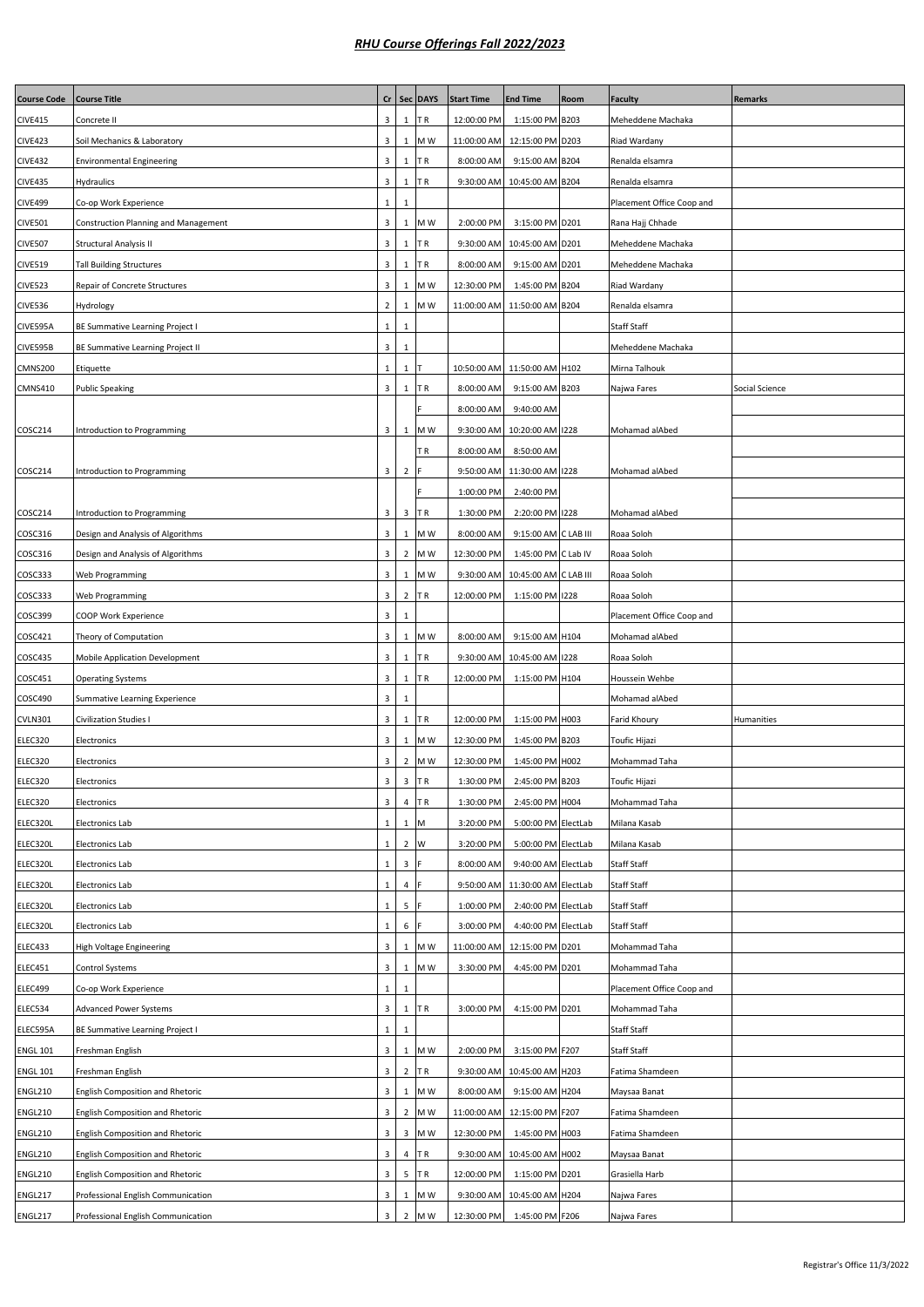| <b>Course Code</b>                 | <b>Course Title</b>                  |                         |                | Cr   Sec   DAYS | <b>Start Time</b> | <b>End Time</b>              | Room | <b>Faculty</b>            | <b>Remarks</b> |
|------------------------------------|--------------------------------------|-------------------------|----------------|-----------------|-------------------|------------------------------|------|---------------------------|----------------|
| <b>CIVE415</b>                     | Concrete II                          | $\mathbf{3}$            | $\mathbf{1}$   | ΤR              | 12:00:00 PM       | 1:15:00 PM B203              |      | Meheddene Machaka         |                |
| <b>CIVE423</b>                     | Soil Mechanics & Laboratory          | $\overline{\mathbf{3}}$ | 1              | M W             | 11:00:00 AM       | 12:15:00 PM D203             |      | Riad Wardany              |                |
| <b>CIVE432</b>                     | <b>Environmental Engineering</b>     | $\mathbf{3}$            | 1              | TR.             | 8:00:00 AM        | 9:15:00 AM B204              |      | Renalda elsamra           |                |
| <b>CIVE435</b>                     | Hydraulics                           | $\overline{\mathbf{3}}$ | 1              | ΤR              | 9:30:00 AM        | 10:45:00 AM B204             |      | Renalda elsamra           |                |
| <b>CIVE499</b>                     | Co-op Work Experience                | $\mathbf{1}$            | 1              |                 |                   |                              |      | Placement Office Coop and |                |
| <b>CIVE501</b>                     | Construction Planning and Management | $\overline{\mathbf{3}}$ | $\mathbf{1}$   | M W             | 2:00:00 PM        | 3:15:00 PM D201              |      | Rana Hajj Chhade          |                |
| <b>CIVE507</b>                     | Structural Analysis II               | $\overline{\mathbf{3}}$ | $\mathbf{1}$   | TR.             | 9:30:00 AM        | 10:45:00 AM D201             |      | Meheddene Machaka         |                |
| <b>CIVE519</b>                     | <b>Tall Building Structures</b>      | $\overline{\mathbf{3}}$ | $\mathbf{1}$   | ΤR              | 8:00:00 AM        | 9:15:00 AM D201              |      | Meheddene Machaka         |                |
| <b>CIVE523</b>                     | Repair of Concrete Structures        | $\overline{\mathbf{3}}$ | $\mathbf{1}$   | M W             | 12:30:00 PM       | 1:45:00 PM B204              |      | Riad Wardany              |                |
| <b>CIVE536</b>                     | Hydrology                            | $\overline{2}$          | 1              | M W             | 11:00:00 AM       | 11:50:00 AM B204             |      | Renalda elsamra           |                |
| CIVE595A                           | BE Summative Learning Project I      | $\mathbf{1}$            | 1              |                 |                   |                              |      | Staff Staff               |                |
| CIVE595B                           | BE Summative Learning Project II     | $\mathbf{3}$            | 1              |                 |                   |                              |      | Meheddene Machaka         |                |
| CMNS200                            | Etiquette                            | $\mathbf{1}$            | 1              | т               |                   | 10:50:00 AM 11:50:00 AM H102 |      | Mirna Talhouk             |                |
| <b>CMNS410</b>                     | <b>Public Speaking</b>               | $\mathbf{3}$            | 1              | ΤR              | 8:00:00 AM        | 9:15:00 AM B203              |      | Najwa Fares               | Social Science |
|                                    |                                      |                         |                |                 | 8:00:00 AM        | 9:40:00 AM                   |      |                           |                |
| COSC214                            | Introduction to Programming          | $\overline{\mathbf{3}}$ | $\mathbf{1}$   | M W             | 9:30:00 AM        | 10:20:00 AM 1228             |      | Mohamad alAbed            |                |
|                                    |                                      |                         |                | ΤR              | 8:00:00 AM        | 8:50:00 AM                   |      |                           |                |
| COSC214                            | Introduction to Programming          | $\overline{\mathbf{3}}$ | 2              | F               | 9:50:00 AM        | 11:30:00 AM 1228             |      | Mohamad alAbed            |                |
|                                    |                                      |                         |                |                 | 1:00:00 PM        | 2:40:00 PM                   |      |                           |                |
| COSC214                            | Introduction to Programming          | $\overline{\mathbf{3}}$ |                | 3 TR            | 1:30:00 PM        | 2:20:00 PM 1228              |      | Mohamad alAbed            |                |
| COSC316                            | Design and Analysis of Algorithms    | $\mathbf{3}$            | 1              | M W             | 8:00:00 AM        | 9:15:00 AM C LAB III         |      | Roaa Soloh                |                |
| COSC316                            | Design and Analysis of Algorithms    | $\overline{\mathbf{3}}$ |                | 2 M W           | 12:30:00 PM       | 1:45:00 PM C Lab IV          |      | Roaa Soloh                |                |
| COSC333                            | Web Programming                      | $\mathbf{3}$            | 1              | M W             | 9:30:00 AM        | 10:45:00 AM C LAB III        |      | Roaa Soloh                |                |
| COSC333                            | Web Programming                      | $\overline{\mathbf{3}}$ | $\overline{2}$ | <b>TR</b>       | 12:00:00 PM       | 1:15:00 PM 1228              |      | Roaa Soloh                |                |
| COSC399                            | COOP Work Experience                 | $\mathbf{3}$            | 1              |                 |                   |                              |      | Placement Office Coop and |                |
| COSC421                            | Theory of Computation                | $\overline{\mathbf{3}}$ | $\mathbf{1}$   | M W             | 8:00:00 AM        | 9:15:00 AM H104              |      | Mohamad alAbed            |                |
| COSC435                            | Mobile Application Development       | $\overline{\mathbf{3}}$ | $\mathbf{1}$   | ΤR              | 9:30:00 AM        | 10:45:00 AM 1228             |      | Roaa Soloh                |                |
| COSC451                            | <b>Operating Systems</b>             | $\mathbf{3}$            | 1              | TR.             | 12:00:00 PM       | 1:15:00 PM H104              |      | Houssein Wehbe            |                |
| COSC490                            | Summative Learning Experience        | 3                       | 1              |                 |                   |                              |      | Mohamad alAbed            |                |
| <b>CVLN301</b>                     | Civilization Studies I               | $\overline{\mathbf{3}}$ |                | $1$ TR          | 12:00:00 PM       | 1:15:00 PM H003              |      | Farid Khoury              | Humanities     |
| ELEC320                            | Electronics                          | $\overline{\mathbf{3}}$ | $\mathbf{1}$   | M W             | 12:30:00 PM       | 1:45:00 PM B203              |      | Toufic Hijazi             |                |
| ELEC320                            | Electronics                          | $\overline{3}$          | $2^{\circ}$    | M W             | 12:30:00 PM       | 1:45:00 PM H002              |      | Mohammad Taha             |                |
| ELEC320                            | Electronics                          | 3 <sup>1</sup>          |                | 3 TR            | 1:30:00 PM        | 2:45:00 PM B203              |      | Toufic Hijazi             |                |
| ELEC320                            | Electronics                          | $\mathbf{3}$            |                | 4 TR            | 1:30:00 PM        | 2:45:00 PM H004              |      | Mohammad Taha             |                |
| ELEC320L                           | Electronics Lab                      | $\mathbf{1}$            | $\mathbf{1}$   | M               | 3:20:00 PM        | 5:00:00 PM ElectLab          |      | Milana Kasab              |                |
| ELEC320L                           | Electronics Lab                      | $\mathbf{1}$            | 2 <sup>1</sup> | W               | 3:20:00 PM        | 5:00:00 PM ElectLab          |      | Milana Kasab              |                |
| ELEC320L                           | Electronics Lab                      | $\mathbf{1}$            | 3              |                 | 8:00:00 AM        | 9:40:00 AM ElectLab          |      | Staff Staff               |                |
| ELEC320L                           | Electronics Lab                      | $\mathbf{1}$            | 4              |                 | 9:50:00 AM        | 11:30:00 AM ElectLab         |      | Staff Staff               |                |
| ELEC320L                           | Electronics Lab                      | $\mathbf{1}$            | 5              |                 | 1:00:00 PM        | 2:40:00 PM ElectLab          |      | Staff Staff               |                |
| ELEC320L                           | Electronics Lab                      | $\mathbf{1}$            | 6              |                 | 3:00:00 PM        | 4:40:00 PM ElectLab          |      | Staff Staff               |                |
| ELEC433                            | High Voltage Engineering             | $\overline{\mathbf{3}}$ | $\mathbf{1}$   | M W             | 11:00:00 AM       | 12:15:00 PM D201             |      | Mohammad Taha             |                |
| ELEC451                            | Control Systems                      | $\overline{\mathbf{3}}$ | $\mathbf{1}$   | M W             | 3:30:00 PM        | 4:45:00 PM D201              |      | Mohammad Taha             |                |
| ELEC499                            | Co-op Work Experience                | $\mathbf{1}$            | 1              |                 |                   |                              |      | Placement Office Coop and |                |
| ELEC534                            | <b>Advanced Power Systems</b>        | $\mathbf{3}$            | $\mathbf{1}$   | ΤR              | 3:00:00 PM        | 4:15:00 PM D201              |      | Mohammad Taha             |                |
| ELEC595A                           | BE Summative Learning Project I      | $\mathbf{1}$            | 1              |                 |                   |                              |      | Staff Staff               |                |
|                                    | Freshman English                     | $\mathbf{3}$            | $\mathbf{1}$   | M W             | 2:00:00 PM        | 3:15:00 PM F207              |      | Staff Staff               |                |
| <b>ENGL 101</b><br><b>ENGL 101</b> | Freshman English                     | $\overline{\mathbf{3}}$ | $\overline{2}$ | TR.             | 9:30:00 AM        | 10:45:00 AM H203             |      | Fatima Shamdeen           |                |
|                                    |                                      |                         |                |                 |                   |                              |      |                           |                |
| <b>ENGL210</b>                     | English Composition and Rhetoric     | $\overline{\mathbf{3}}$ | $\mathbf{1}$   | M W             | 8:00:00 AM        | 9:15:00 AM H204              |      | Maysaa Banat              |                |
| <b>ENGL210</b>                     | English Composition and Rhetoric     | $\overline{\mathbf{3}}$ |                | 2 M W           | 11:00:00 AM       | 12:15:00 PM F207             |      | Fatima Shamdeen           |                |
| <b>ENGL210</b>                     | English Composition and Rhetoric     | $\overline{\mathbf{3}}$ | 3              | M W             | 12:30:00 PM       | 1:45:00 PM H003              |      | Fatima Shamdeen           |                |
| <b>ENGL210</b>                     | English Composition and Rhetoric     | 3                       | $\overline{4}$ | TR.             | 9:30:00 AM        | 10:45:00 AM H002             |      | Maysaa Banat              |                |
| <b>ENGL210</b>                     | English Composition and Rhetoric     | $\overline{\mathbf{3}}$ |                | 5 TR            | 12:00:00 PM       | 1:15:00 PM D201              |      | Grasiella Harb            |                |
| ENGL217                            | Professional English Communication   | $\overline{\mathbf{3}}$ | 1              | M W             | 9:30:00 AM        | 10:45:00 AM H204             |      | Najwa Fares               |                |
| ENGL217                            | Professional English Communication   | 3                       | 2              | M W             | 12:30:00 PM       | 1:45:00 PM F206              |      | Najwa Fares               |                |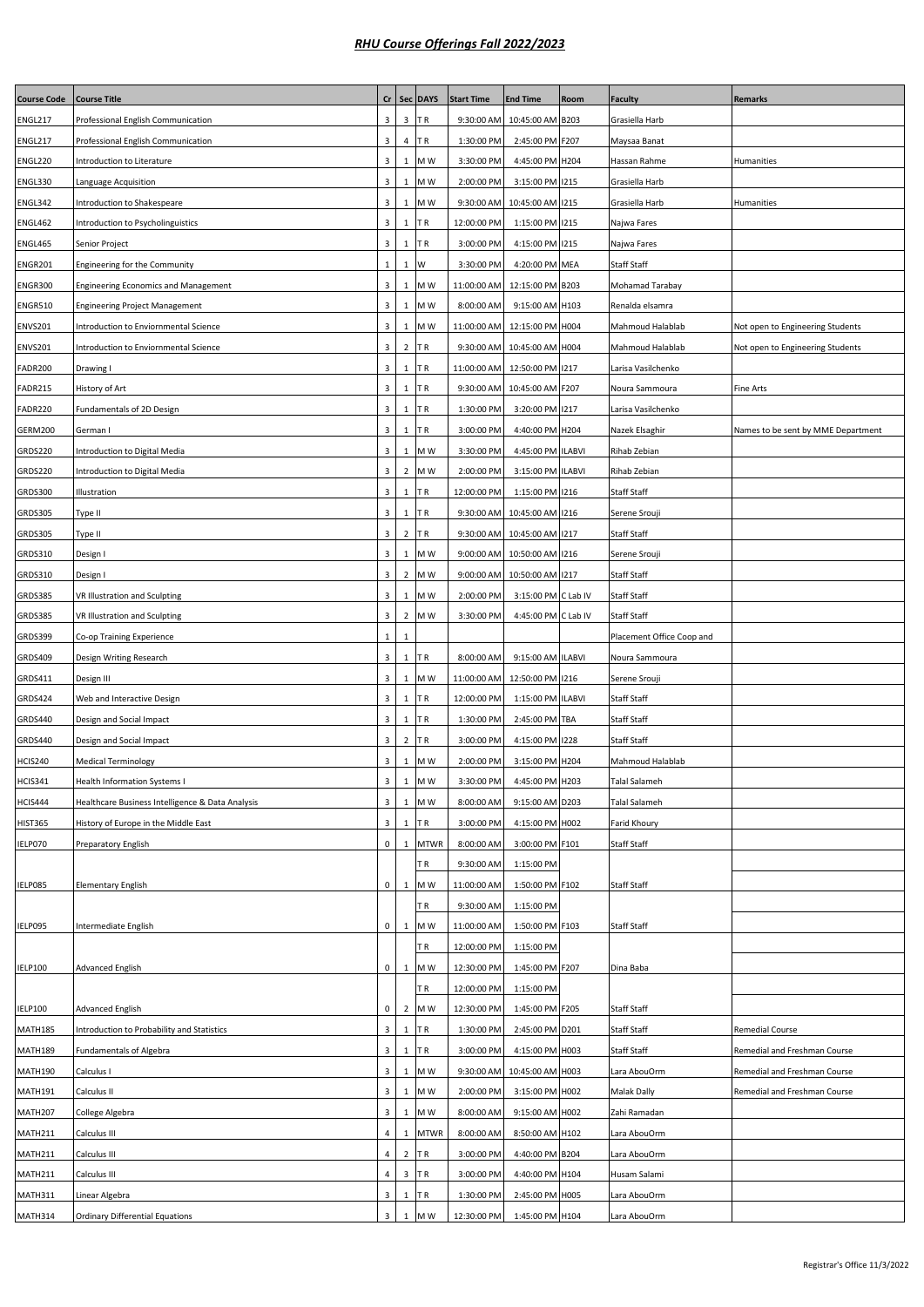| <b>Course Code</b> | <b>Course Title</b>                              | cr                      | Sec            | <b>DAYS</b> | <b>Start Time</b> | <b>End Time</b>              | Room | <b>Faculty</b>            | <b>Remarks</b>                     |
|--------------------|--------------------------------------------------|-------------------------|----------------|-------------|-------------------|------------------------------|------|---------------------------|------------------------------------|
| ENGL217            | Professional English Communication               | 3                       | $\mathbf{3}$   | ΤR          | 9:30:00 AM        | 10:45:00 AM B203             |      | Grasiella Harb            |                                    |
| ENGL217            | Professional English Communication               | 3                       | $\overline{4}$ | ΤR          | 1:30:00 PM        | 2:45:00 PM F207              |      | Maysaa Banat              |                                    |
| ENGL220            | Introduction to Literature                       | 3                       | $\mathbf{1}$   | M W         | 3:30:00 PM        | 4:45:00 PM H204              |      | Hassan Rahme              | Humanities                         |
| ENGL330            | Language Acquisition                             | 3                       | $\mathbf{1}$   | M W         | 2:00:00 PM        | 3:15:00 PM 1215              |      | Grasiella Harb            |                                    |
| ENGL342            | Introduction to Shakespeare                      | 3                       | $\,1\,$        | M W         | 9:30:00 AM        | 10:45:00 AM 1215             |      | Grasiella Harb            | Humanities                         |
| <b>ENGL462</b>     | Introduction to Psycholinguistics                | 3                       | 1              | ΤR          | 12:00:00 PM       | 1:15:00 PM 1215              |      | Najwa Fares               |                                    |
| ENGL465            | Senior Project                                   | 3                       | 1              | ΤR          | 3:00:00 PM        | 4:15:00 PM 1215              |      | Najwa Fares               |                                    |
| <b>ENGR201</b>     | Engineering for the Community                    | $\mathbf{1}$            | $\mathbf{1}$   | W           | 3:30:00 PM        | 4:20:00 PM MEA               |      | Staff Staff               |                                    |
| ENGR300            | <b>Engineering Economics and Management</b>      | 3                       | $\mathbf{1}$   | M W         | 11:00:00 AM       | 12:15:00 PM B203             |      | Mohamad Tarabay           |                                    |
| <b>ENGR510</b>     | <b>Engineering Project Management</b>            | 3                       | $\mathbf{1}$   | M W         | 8:00:00 AM        | 9:15:00 AM H103              |      | Renalda elsamra           |                                    |
| <b>ENVS201</b>     | Introduction to Enviornmental Science            | 3                       | 1              | M W         | 11:00:00 AM       | 12:15:00 PM H004             |      | Mahmoud Halablab          | Not open to Engineering Students   |
| <b>ENVS201</b>     | Introduction to Enviornmental Science            | 3                       | $\overline{2}$ | ΤR          |                   | 9:30:00 AM 10:45:00 AM H004  |      | Mahmoud Halablab          | Not open to Engineering Students   |
| FADR200            | Drawing I                                        | 3                       | $\mathbf{1}$   | ΤR          |                   | 11:00:00 AM 12:50:00 PM 1217 |      | Larisa Vasilchenko        |                                    |
| FADR215            | History of Art                                   | 3                       | $\mathbf{1}$   | ΤR          | 9:30:00 AM        | 10:45:00 AM F207             |      | Noura Sammoura            | Fine Arts                          |
| FADR220            | Fundamentals of 2D Design                        | 3                       | 1              | T R         | 1:30:00 PM        | 3:20:00 PM 1217              |      | Larisa Vasilchenko        |                                    |
| GERM200            | German I                                         | 3                       | 1              | ΤR          | 3:00:00 PM        | 4:40:00 PM H204              |      | Nazek Elsaghir            | Names to be sent by MME Department |
| GRDS220            | Introduction to Digital Media                    | 3                       | $\mathbf{1}$   | M W         | 3:30:00 PM        | 4:45:00 PM ILABVI            |      | Rihab Zebian              |                                    |
| GRDS220            | Introduction to Digital Media                    | 3                       | $\overline{2}$ | M W         | 2:00:00 PM        | 3:15:00 PM ILABVI            |      | Rihab Zebian              |                                    |
| GRDS300            | Illustration                                     | 3                       | $\mathbf{1}$   | ΤR          | 12:00:00 PM       | 1:15:00 PM 1216              |      | Staff Staff               |                                    |
| <b>GRDS305</b>     | Type II                                          | 3                       | 1              | ΤR          | 9:30:00 AM        | 10:45:00 AM 1216             |      | Serene Srouji             |                                    |
| GRDS305            | Type II                                          | 3                       | $\overline{2}$ | ΤR          | 9:30:00 AM        | 10:45:00 AM 1217             |      | Staff Staff               |                                    |
| GRDS310            | Design I                                         | 3                       | $\mathbf{1}$   | M W         | 9:00:00 AM        | 10:50:00 AM 1216             |      | Serene Srouji             |                                    |
| GRDS310            | Design I                                         | 3                       | $\overline{2}$ | M W         | 9:00:00 AM        | 10:50:00 AM 1217             |      | Staff Staff               |                                    |
| <b>GRDS385</b>     | VR Illustration and Sculpting                    | 3                       | 1              | M W         | 2:00:00 PM        | 3:15:00 PM C Lab IV          |      | Staff Staff               |                                    |
| <b>GRDS385</b>     | VR Illustration and Sculpting                    | 3                       | $\overline{2}$ | M W         | 3:30:00 PM        | 4:45:00 PM C Lab IV          |      | Staff Staff               |                                    |
| GRDS399            | Co-op Training Experience                        | $\mathbf{1}$            | 1              |             |                   |                              |      | Placement Office Coop and |                                    |
| <b>GRDS409</b>     | Design Writing Research                          | 3                       | $\mathbf{1}$   | ΤR          | 8:00:00 AM        | 9:15:00 AM ILABVI            |      | Noura Sammoura            |                                    |
| GRDS411            | Design III                                       | 3                       | $\mathbf{1}$   | M W         | 11:00:00 AM       | 12:50:00 PM 1216             |      | Serene Srouji             |                                    |
| <b>GRDS424</b>     | Web and Interactive Design                       | 3                       | 1              | ΤR          | 12:00:00 PM       | 1:15:00 PM ILABVI            |      | Staff Staff               |                                    |
| <b>GRDS440</b>     | Design and Social Impact                         | 3                       | $\mathbf{1}$   | ΤR          | 1:30:00 PM        | 2:45:00 PM TBA               |      | Staff Staff               |                                    |
| <b>GRDS440</b>     | Design and Social Impact                         | 3                       | $\overline{2}$ | ΤR          | 3:00:00 PM        | 4:15:00 PM 1228              |      | Staff Staff               |                                    |
| HCIS240            | <b>Medical Terminology</b>                       | 3                       | 1              | M W         | 2:00:00 PM        | 3:15:00 PM H204              |      | Mahmoud Halablab          |                                    |
| <b>HCIS341</b>     | Health Information Systems I                     | $\overline{\mathbf{3}}$ |                | 1 M W       | 3:30:00 PM        | 4:45:00 PM H203              |      | Talal Salameh             |                                    |
| HCIS444            | Healthcare Business Intelligence & Data Analysis | 3                       | $\mathbf{1}$   | M W         | 8:00:00 AM        | 9:15:00 AM D203              |      | Talal Salameh             |                                    |
| <b>HIST365</b>     | History of Europe in the Middle East             | 3                       | $\mathbf{1}$   | ΤR          | 3:00:00 PM        | 4:15:00 PM H002              |      | Farid Khoury              |                                    |
| IELP070            | Preparatory English                              | 0                       | $\mathbf{1}$   | <b>MTWR</b> | 8:00:00 AM        | 3:00:00 PM F101              |      | Staff Staff               |                                    |
|                    |                                                  |                         |                | ΤR          | 9:30:00 AM        | 1:15:00 PM                   |      |                           |                                    |
| IELP085            | <b>Elementary English</b>                        | 0                       | $\mathbf{1}$   | M W         | 11:00:00 AM       | 1:50:00 PM F102              |      | Staff Staff               |                                    |
|                    |                                                  |                         |                | ΤR          | 9:30:00 AM        | 1:15:00 PM                   |      |                           |                                    |
| IELP095            | Intermediate English                             | $\mathbf 0$             | $\mathbf{1}$   | M W         | 11:00:00 AM       | 1:50:00 PM F103              |      | Staff Staff               |                                    |
|                    |                                                  |                         |                | ΤR          | 12:00:00 PM       | 1:15:00 PM                   |      |                           |                                    |
| <b>IELP100</b>     | <b>Advanced English</b>                          | 0                       | $\mathbf{1}$   | M W         | 12:30:00 PM       | 1:45:00 PM F207              |      | Dina Baba                 |                                    |
|                    |                                                  |                         |                | ΤR          | 12:00:00 PM       | 1:15:00 PM                   |      |                           |                                    |
| <b>IELP100</b>     | <b>Advanced English</b>                          | 0                       | $\overline{2}$ | M W         | 12:30:00 PM       | 1:45:00 PM F205              |      | Staff Staff               |                                    |
| MATH185            | Introduction to Probability and Statistics       | 3                       | $\mathbf{1}$   | TR          | 1:30:00 PM        | 2:45:00 PM D201              |      | Staff Staff               | Remedial Course                    |
| MATH189            | <b>Fundamentals of Algebra</b>                   | 3                       | $1\,$          | ΤR          | 3:00:00 PM        | 4:15:00 PM H003              |      | Staff Staff               | Remedial and Freshman Course       |
| MATH190            | Calculus I                                       | 3                       | $\mathbf{1}$   | M W         | 9:30:00 AM        | 10:45:00 AM H003             |      | Lara AbouOrm              | Remedial and Freshman Course       |
| MATH191            | Calculus II                                      | 3                       | $\mathbf{1}$   | M W         | 2:00:00 PM        | 3:15:00 PM H002              |      | Malak Dally               | Remedial and Freshman Course       |
| MATH207            | College Algebra                                  | 3                       | $\mathbf{1}$   | M W         | 8:00:00 AM        | 9:15:00 AM H002              |      | Zahi Ramadan              |                                    |
| MATH211            | Calculus III                                     | 4                       | 1              | <b>MTWR</b> | 8:00:00 AM        | 8:50:00 AM H102              |      | Lara AbouOrm              |                                    |
| MATH211            | Calculus III                                     | 4                       | $\overline{2}$ | ΤR          | 3:00:00 PM        | 4:40:00 PM B204              |      | Lara AbouOrm              |                                    |
| MATH211            | Calculus III                                     | $\overline{4}$          | 3              | ΤR          | 3:00:00 PM        | 4:40:00 PM H104              |      | Husam Salami              |                                    |
| MATH311            | Linear Algebra                                   | 3                       | $\mathbf{1}$   | TR          | 1:30:00 PM        | 2:45:00 PM H005              |      | Lara AbouOrm              |                                    |
| MATH314            | <b>Ordinary Differential Equations</b>           | $\overline{3}$          |                | 1 MW        | 12:30:00 PM       | 1:45:00 PM H104              |      | Lara AbouOrm              |                                    |